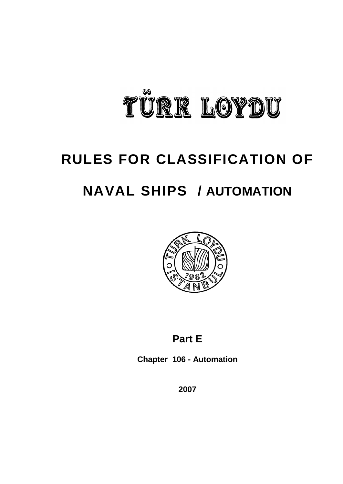

# **RULES FOR CLASSIFICATION OF NAVAL SHIPS / AUTOMATION**



# **Part E**

**Chapter 106 - Automation**

**2007**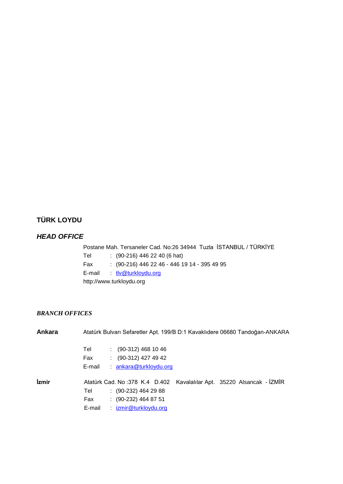# **TÜRK LOYDU**

# *HEAD OFFICE*

Postane Mah. Tersaneler Cad. No:26 34944 Tuzla İSTANBUL / TÜRKİYE Tel : (90-216) 446 22 40 (6 hat) Fax : (90-216) 446 22 46 - 446 19 14 - 395 49 95 E-mail : tlv@turkloydu.org http://www.turkloydu.org

# *BRANCH OFFICES*

| Ankara | Atatürk Bulvarı Sefaretler Apt. 199/B D:1 Kavaklıdere 06680 Tandoğan-ANKARA |
|--------|-----------------------------------------------------------------------------|
|        | $(90-312)$ 468 10 46<br>Tel                                                 |
|        | $(90-312)$ 427 49 42<br>Fax                                                 |
|        | ankara@turkloydu.org<br>E-mail                                              |
| İzmir  | Atatürk Cad. No: 378 K.4 D.402 Kavalalılar Apt. 35220 Alsancak - İZMİR      |
|        | $(90-232)$ 464 29 88<br>Tel                                                 |
|        | $\colon$ (90-232) 464 87 51<br>Fax                                          |
|        | izmir@turkloydu.org<br>E-mail                                               |
|        |                                                                             |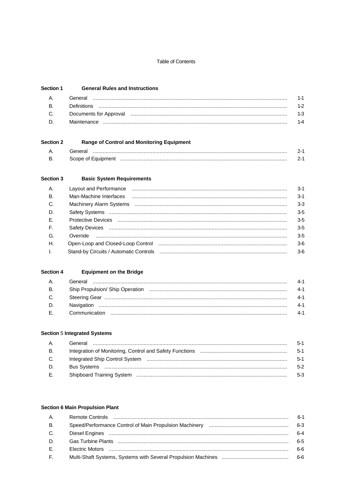#### **Table of Contents**

#### Section 1 **General Rules and Instructions**

| A.                                   | General                                                                                                        | 1-1   |
|--------------------------------------|----------------------------------------------------------------------------------------------------------------|-------|
| <b>B.</b>                            | Definitions                                                                                                    | $1-2$ |
| $C_{\cdot}$ . The set of $C_{\cdot}$ | Documents for Approval must measure manufacture to a provide the contract of the process of the contract of th | $1-3$ |
| D.                                   | Maintenance                                                                                                    | 1-4   |

#### Section 2 **Range of Control and Monitoring Equipment**

| Scope of Equipmer |  |
|-------------------|--|

#### Section 3 **Basic System Requirements**

| A.           |                                                                                                                                                                                                                                                                                                                                                                                                                                                                       | $3-1$   |
|--------------|-----------------------------------------------------------------------------------------------------------------------------------------------------------------------------------------------------------------------------------------------------------------------------------------------------------------------------------------------------------------------------------------------------------------------------------------------------------------------|---------|
| <b>B.</b>    | Man-Machine Interfaces<br>$\begin{minipage}{0.5\textwidth} \begin{tabular}{ l l l } \hline \multicolumn{1}{ l l l } \hline \multicolumn{1}{ l l } \multicolumn{1}{ l } \multicolumn{1}{ l } \multicolumn{1}{ l } \multicolumn{1}{ l } \multicolumn{1}{ l } \multicolumn{1}{ l } \multicolumn{1}{ l } \multicolumn{1}{ l } \multicolumn{1}{ l } \multicolumn{1}{ l } \multicolumn{1}{ l } \multicolumn{1}{ l } \multicolumn{1}{ l } \multicolumn{1}{ l } \multicolumn$ | $3-1$   |
| C.           |                                                                                                                                                                                                                                                                                                                                                                                                                                                                       | $3-3$   |
| D.           |                                                                                                                                                                                                                                                                                                                                                                                                                                                                       | $3-5$   |
| E            |                                                                                                                                                                                                                                                                                                                                                                                                                                                                       | $3-5$   |
| $F_{\rm c}$  |                                                                                                                                                                                                                                                                                                                                                                                                                                                                       | $3-5$   |
| G.           |                                                                                                                                                                                                                                                                                                                                                                                                                                                                       | $3 - 5$ |
| $H_{\cdot}$  |                                                                                                                                                                                                                                                                                                                                                                                                                                                                       | $3-6$   |
| $\mathbf{L}$ |                                                                                                                                                                                                                                                                                                                                                                                                                                                                       | $3-6$   |
|              |                                                                                                                                                                                                                                                                                                                                                                                                                                                                       |         |

#### Section 4 **Equipment on the Bridge**

| <b>A.</b>    | General | $4-1$  |
|--------------|---------|--------|
| <b>B.</b>    |         | -4-1   |
| $C_{\cdot}$  |         | -4-1   |
| D.           |         | $-4-1$ |
| $E_{\rm{c}}$ |         | $-4-1$ |

## **Section 5 Integrated Systems**

| A.         | General | $5-1$  |
|------------|---------|--------|
| <b>B</b> . |         | - 5-1  |
| C.         |         | $-5-1$ |
| D.         |         | $5-2$  |
| E.         |         | $5-3$  |

## **Section 6 Main Propulsion Plant**

| <b>A.</b> | $6-1$   |
|-----------|---------|
| <b>B.</b> | 6-3     |
| C.        | $6 - 4$ |
| D.        | 6-5     |
| E.        | ჩ-ჩ     |
| E.        | 6-6     |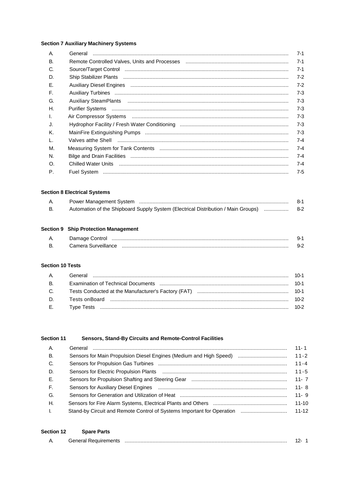## **Section 7 Auxiliary Machinery Systems**

| А.           |                                                                                                                          | $7 - 1$ |
|--------------|--------------------------------------------------------------------------------------------------------------------------|---------|
| <b>B.</b>    |                                                                                                                          | $7 - 1$ |
| C.           |                                                                                                                          | $7 - 1$ |
| D.           |                                                                                                                          | $7 - 2$ |
| Е.           |                                                                                                                          | $7 - 2$ |
| E.           |                                                                                                                          | $7 - 3$ |
| G.           |                                                                                                                          | $7 - 3$ |
| Η.           |                                                                                                                          | $7 - 3$ |
| $\mathbf{L}$ |                                                                                                                          | $7 - 3$ |
| J.           |                                                                                                                          | $7 - 3$ |
| Κ.           |                                                                                                                          | $7 - 3$ |
| $\mathbf{L}$ | Valves atthe Shell <b>Election Constructs</b> and Construction Construction Construction Construction Construction Const | $7 - 4$ |
| М.           |                                                                                                                          | $7 - 4$ |
| N.           |                                                                                                                          | $7 - 4$ |
| O.           |                                                                                                                          | $7 - 4$ |
| $P_{\cdot}$  |                                                                                                                          | $7 - 5$ |

## **Section 8 Electrical Systems**

|                                                                                        | 8-1 |
|----------------------------------------------------------------------------------------|-----|
| Automation of the Shipboard Supply System (Electrical Distribution / Main Groups)  8-2 |     |

## **Section 9 Ship Protection Management**

| Α. | Damage Control      |  |
|----|---------------------|--|
| В  | Camera Surveillance |  |

## **Section 10 Tests**

#### Section 11 Sensors, Stand-By Circuits and Remote-Control Facilities

| A.           |                                                                                                                | $11 - 1$  |
|--------------|----------------------------------------------------------------------------------------------------------------|-----------|
| <b>B.</b>    | Sensors for Main Propulsion Diesel Engines (Medium and High Speed)                                             | $11 - 2$  |
| C.           |                                                                                                                | $11 - 4$  |
| D.           |                                                                                                                | $11 - 5$  |
| E.           |                                                                                                                | $11 - 7$  |
| F.           |                                                                                                                | $11 - 8$  |
| G.           | Sensors for Generation and Utilization of Heat manual content content content for content of the Sensors and T | $11 - 9$  |
| H.           |                                                                                                                | $11 - 10$ |
| $\mathbf{L}$ | Stand-by Circuit and Remote Control of Systems Important for Operation                                         | $11 - 12$ |
|              |                                                                                                                |           |

| <b>Section 12</b> | <b>Spare Parts</b>   |  |
|-------------------|----------------------|--|
|                   | General Requirements |  |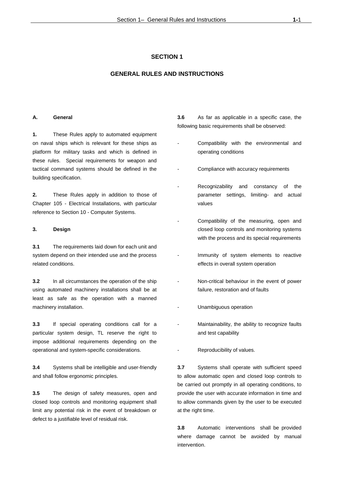## **GENERAL RULES AND INSTRUCTIONS**

#### **A. General**

**1.** These Rules apply to automated equipment on naval ships which is relevant for these ships as platform for military tasks and which is defined in these rules. Special requirements for weapon and tactical command systems should be defined in the building specification.

**2.** These Rules apply in addition to those of Chapter 105 - Electrical Installations, with particular reference to Section 10 - Computer Systems.

#### **3. Design**

**3.1** The requirements laid down for each unit and system depend on their intended use and the process related conditions.

**3.2** In all circumstances the operation of the ship using automated machinery installations shall be at least as safe as the operation with a manned machinery installation.

**3.3** If special operating conditions call for a particular system design, TL reserve the right to impose additional requirements depending on the operational and system-specific considerations.

**3.4** Systems shall be intelligible and user-friendly and shall follow ergonomic principles.

**3.5** The design of safety measures, open and closed loop controls and monitoring equipment shall limit any potential risk in the event of breakdown or defect to a justifiable level of residual risk.

**3.6** As far as applicable in a specific case, the following basic requirements shall be observed:

- Compatibility with the environmental and operating conditions
- Compliance with accuracy requirements
- Recognizability and constancy of the parameter settings, limiting- and actual values
- Compatibility of the measuring, open and closed loop controls and monitoring systems with the process and its special requirements
- Immunity of system elements to reactive effects in overall system operation
- Non-critical behaviour in the event of power failure, restoration and of faults
- Unambiguous operation
- Maintainability, the ability to recognize faults and test capability
- Reproducibility of values.

**3.7** Systems shall operate with sufficient speed to allow automatic open and closed loop controls to be carried out promptly in all operating conditions, to provide the user with accurate information in time and to allow commands given by the user to be executed at the right time.

**3.8** Automatic interventions shall be provided where damage cannot be avoided by manual intervention.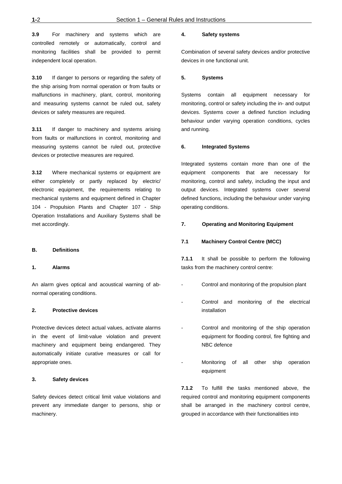**3.9** For machinery and systems which are controlled remotely or automatically, control and monitoring facilities shall be provided to permit independent local operation.

**3.10** If danger to persons or regarding the safety of the ship arising from normal operation or from faults or malfunctions in machinery, plant, control, monitoring and measuring systems cannot be ruled out, safety devices or safety measures are required.

**3.11** If danger to machinery and systems arising from faults or malfunctions in control, monitoring and measuring systems cannot be ruled out, protective devices or protective measures are required.

**3.12** Where mechanical systems or equipment are either completely or partly replaced by electric/ electronic equipment, the requirements relating to mechanical systems and equipment defined in Chapter 104 - Propulsion Plants and Chapter 107 - Ship Operation Installations and Auxiliary Systems shall be met accordingly.

#### **B. Definitions**

#### **1. Alarms**

An alarm gives optical and acoustical warning of abnormal operating conditions.

#### **2. Protective devices**

Protective devices detect actual values, activate alarms in the event of limit-value violation and prevent machinery and equipment being endangered. They automatically initiate curative measures or call for appropriate ones.

#### **3. Safety devices**

Safety devices detect critical limit value violations and prevent any immediate danger to persons, ship or machinery.

#### **4. Safety systems**

Combination of several safety devices and/or protective devices in one functional unit.

#### **5. Systems**

Systems contain all equipment necessary for monitoring, control or safety including the in- and output devices. Systems cover a defined function including behaviour under varying operation conditions, cycles and running.

#### **6. Integrated Systems**

Integrated systems contain more than one of the equipment components that are necessary for monitoring, control and safety, including the input and output devices. Integrated systems cover several defined functions, including the behaviour under varying operating conditions.

#### **7. Operating and Monitoring Equipment**

#### **7.1 Machinery Control Centre (MCC)**

**7.1.1** It shall be possible to perform the following tasks from the machinery control centre:

- Control and monitoring of the propulsion plant
- Control and monitoring of the electrical installation
- Control and monitoring of the ship operation equipment for flooding control, fire fighting and NBC defence
- Monitoring of all other ship operation equipment

**7.1.2** To fulfill the tasks mentioned above, the required control and monitoring equipment components shall be arranged in the machinery control centre, grouped in accordance with their functionalities into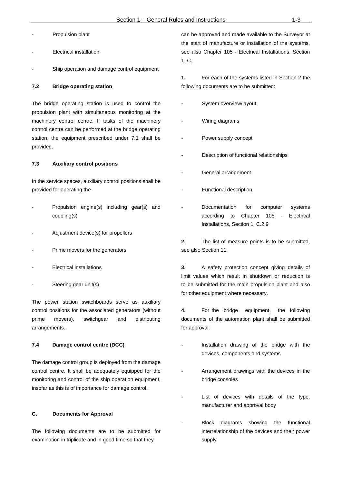- Propulsion plant
- Electrical installation
- Ship operation and damage control equipment

#### **7.2 Bridge operating station**

The bridge operating station is used to control the propulsion plant with simultaneous monitoring at the machinery control centre. If tasks of the machinery control centre can be performed at the bridge operating station, the equipment prescribed under 7.1 shall be provided.

#### **7.3 Auxiliary control positions**

In the service spaces, auxiliary control positions shall be provided for operating the

- Propulsion engine(s) including gear(s) and coupling(s)
- Adjustment device(s) for propellers
- Prime movers for the generators
- **Electrical installations**
- Steering gear unit(s)

The power station switchboards serve as auxiliary control positions for the associated generators (without prime movers), switchgear and distributing arrangements.

#### **7.4 Damage control centre (DCC)**

The damage control group is deployed from the damage control centre. It shall be adequately equipped for the monitoring and control of the ship operation equipment, insofar as this is of importance for damage control.

#### **C. Documents for Approval**

The following documents are to be submitted for examination in triplicate and in good time so that they

can be approved and made available to the Surveyor at the start of manufacture or installation of the systems, see also Chapter 105 - Electrical Installations, Section 1, C.

**1.** For each of the systems listed in Section 2 the following documents are to be submitted:

- System overview/layout
- Wiring diagrams
- Power supply concept
- Description of functional relationships
- General arrangement
- Functional description
- Documentation for computer systems according to Chapter 105 - Electrical Installations, Section 1, C.2.9

**2.** The list of measure points is to be submitted, see also Section 11.

**3.** A safety protection concept giving details of limit values which result in shutdown or reduction is to be submitted for the main propulsion plant and also for other equipment where necessary.

**4.** For the bridge equipment, the following documents of the automation plant shall be submitted for approval:

- Installation drawing of the bridge with the devices, components and systems
- Arrangement drawings with the devices in the bridge consoles
- List of devices with details of the type, manufacturer and approval body
- Block diagrams showing the functional interrelationship of the devices and their power supply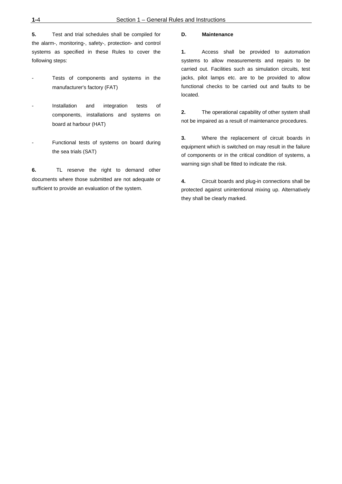**5.** Test and trial schedules shall be compiled for the alarm-, monitoring-, safety-, protection- and control systems as specified in these Rules to cover the following steps:

- Tests of components and systems in the manufacturer's factory (FAT)
- Installation and integration tests of components, installations and systems on board at harbour (HAT)
- Functional tests of systems on board during the sea trials (SAT)

**6.** TL reserve the right to demand other documents where those submitted are not adequate or sufficient to provide an evaluation of the system.

#### **D. Maintenance**

**1.** Access shall be provided to automation systems to allow measurements and repairs to be carried out. Facilities such as simulation circuits, test jacks, pilot lamps etc. are to be provided to allow functional checks to be carried out and faults to be located.

**2.** The operational capability of other system shall not be impaired as a result of maintenance procedures.

**3.** Where the replacement of circuit boards in equipment which is switched on may result in the failure of components or in the critical condition of systems, a warning sign shall be fitted to indicate the risk.

**4.** Circuit boards and plug-in connections shall be protected against unintentional mixing up. Alternatively they shall be clearly marked.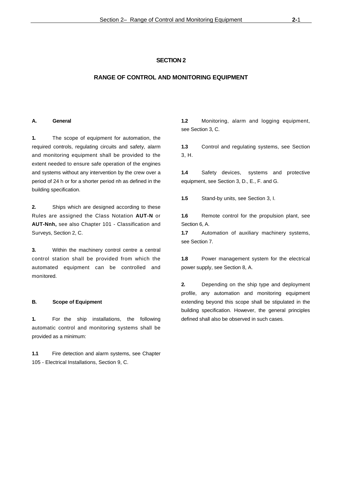#### **RANGE OF CONTROL AND MONITORING EQUIPMENT**

#### **A. General**

**1.** The scope of equipment for automation, the required controls, regulating circuits and safety, alarm and monitoring equipment shall be provided to the extent needed to ensure safe operation of the engines and systems without any intervention by the crew over a period of 24 h or for a shorter period nh as defined in the building specification.

**2.** Ships which are designed according to these Rules are assigned the Class Notation **AUT-N** or **AUT-Nnh,** see also Chapter 101 - Classification and Surveys, Section 2, C.

**3.** Within the machinery control centre a central control station shall be provided from which the automated equipment can be controlled and monitored.

#### **B. Scope of Equipment**

**1.** For the ship installations, the following automatic control and monitoring systems shall be provided as a minimum:

**1.1** Fire detection and alarm systems, see Chapter 105 - Electrical Installations, Section 9, C.

**1.2** Monitoring, alarm and logging equipment, see Section 3, C.

**1.3** Control and regulating systems, see Section 3, H.

**1.4** Safety devices, systems and protective equipment, see Section 3, D., E., F. and G.

**1.5** Stand-by units, see Section 3, I.

**1.6** Remote control for the propulsion plant, see Section 6, A.

**1.7** Automation of auxiliary machinery systems, see Section 7.

**1.8** Power management system for the electrical power supply, see Section 8, A.

**2.** Depending on the ship type and deployment profile, any automation and monitoring equipment extending beyond this scope shall be stipulated in the building specification. However, the general principles defined shall also be observed in such cases.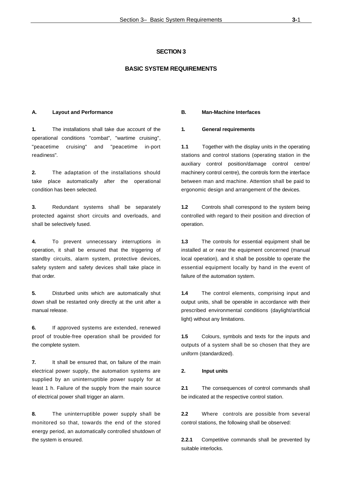## **BASIC SYSTEM REQUIREMENTS**

#### **A. Layout and Performance**

**1.** The installations shall take due account of the operational conditions "combat", "wartime cruising", "peacetime cruising" and "peacetime in-port readiness".

**2.** The adaptation of the installations should take place automatically after the operational condition has been selected.

**3.** Redundant systems shall be separately protected against short circuits and overloads, and shall be selectively fused.

**4.** To prevent unnecessary interruptions in operation, it shall be ensured that the triggering of standby circuits, alarm system, protective devices, safety system and safety devices shall take place in that order.

**5.** Disturbed units which are automatically shut down shall be restarted only directly at the unit after a manual release.

**6.** If approved systems are extended, renewed proof of trouble-free operation shall be provided for the complete system.

**7.** It shall be ensured that, on failure of the main electrical power supply, the automation systems are supplied by an uninterruptible power supply for at least 1 h. Failure of the supply from the main source of electrical power shall trigger an alarm.

**8.** The uninterruptible power supply shall be monitored so that, towards the end of the stored energy period, an automatically controlled shutdown of the system is ensured.

#### **B. Man-Machine Interfaces**

#### **1. General requirements**

**1.1** Together with the display units in the operating stations and control stations (operating station in the auxiliary control position/damage control centre/ machinery control centre), the controls form the interface between man and machine. Attention shall be paid to ergonomic design and arrangement of the devices.

**1.2** Controls shall correspond to the system being controlled with regard to their position and direction of operation.

**1.3** The controls for essential equipment shall be installed at or near the equipment concerned (manual local operation), and it shall be possible to operate the essential equipment locally by hand in the event of failure of the automation system.

**1.4** The control elements, comprising input and output units, shall be operable in accordance with their prescribed environmental conditions (daylight/artificial light) without any limitations.

**1.5** Colours, symbols and texts for the inputs and outputs of a system shall be so chosen that they are uniform (standardized).

#### **2. Input units**

**2.1** The consequences of control commands shall be indicated at the respective control station.

**2.2** Where controls are possible from several control stations, the following shall be observed:

**2.2.1** Competitive commands shall be prevented by suitable interlocks.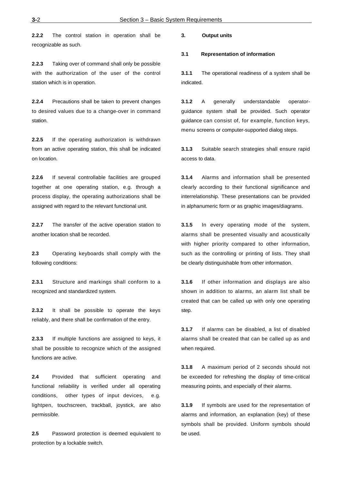**2.2.2** The control station in operation shall be recognizable as such.

**2.2.3** Taking over of command shall only be possible with the authorization of the user of the control station which is in operation.

**2.2.4** Precautions shall be taken to prevent changes to desired values due to a change-over in command station.

**2.2.5** If the operating authorization is withdrawn from an active operating station, this shall be indicated on location.

**2.2.6** If several controllable facilities are grouped together at one operating station, e.g. through a process display, the operating authorizations shall be assigned with regard to the relevant functional unit.

**2.2.7** The transfer of the active operation station to another location shall be recorded.

**2.3** Operating keyboards shall comply with the following conditions:

**2.3.1** Structure and markings shall conform to a recognized and standardized system.

**2.3.2** It shall be possible to operate the keys reliably, and there shall be confirmation of the entry.

**2.3.3** If multiple functions are assigned to keys, it shall be possible to recognize which of the assigned functions are active.

**2.4** Provided that sufficient operating and functional reliability is verified under all operating conditions, other types of input devices, e.g. lightpen, touchscreen, trackball, joystick, are also permissible.

**2.5** Password protection is deemed equivalent to protection by a lockable switch.

#### **3. Output units**

#### **3.1 Representation of information**

**3.1.1** The operational readiness of a system shall be indicated.

**3.1.2** A generally understandable operatorguidance system shall be provided. Such operator guidance can consist of, for example, function keys, menu screens or computer-supported dialog steps.

**3.1.3** Suitable search strategies shall ensure rapid access to data.

**3.1.4** Alarms and information shall be presented clearly according to their functional significance and interrelationship. These presentations can be provided in alphanumeric form or as graphic images/diagrams.

**3.1.5** In every operating mode of the system, alarms shall be presented visually and acoustically with higher priority compared to other information, such as the controlling or printing of lists. They shall be clearly distinguishable from other information.

**3.1.6** If other information and displays are also shown in addition to alarms, an alarm list shall be created that can be called up with only one operating step.

**3.1.7** If alarms can be disabled, a list of disabled alarms shall be created that can be called up as and when required.

**3.1.8** A maximum period of 2 seconds should not be exceeded for refreshing the display of time-critical measuring points, and especially of their alarms.

**3.1.9** If symbols are used for the representation of alarms and information, an explanation (key) of these symbols shall be provided. Uniform symbols should be used.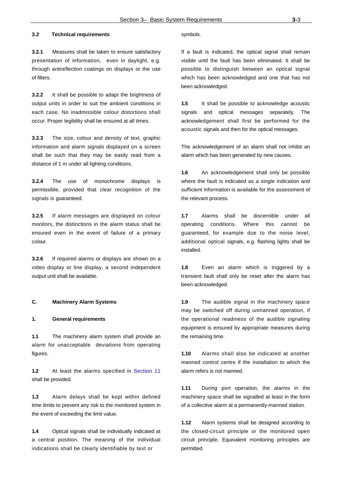## **3.2 Technical requirements**

**3.2.1** Measures shall be taken to ensure satisfactory presentation of information, even in daylight, e.g. through antireflection coatings on displays or the use of filters.

**3.2.2** It shall be possible to adapt the brightness of output units in order to suit the ambient conditions in each case. No inadmissible colour distortions shall occur. Proper legibility shall be ensured at all times.

**3.2.3** The size, colour and density of text, graphic information and alarm signals displayed on a screen shall be such that they may be easily read from a distance of 1 m under all lighting conditions.

**3.2.4** The use of monochrome displays is permissible, provided that clear recognition of the signals is guaranteed.

**3.2.5** If alarm messages are displayed on colour monitors, the distinctions in the alarm status shall be ensured even in the event of failure of a primary colour.

**3.2.6** If required alarms or displays are shown on a video display or line display, a second independent output unit shall be available.

#### **C. Machinery Alarm Systems**

#### **1. General requirements**

**1.1** The machinery alarm system shall provide an alarm for unacceptable deviations from operating figures.

**1.2** At least the alarms specified in Section 11 shall be provided.

**1.3** Alarm delays shall be kept within defined time limits to prevent any risk to the monitored system in the event of exceeding the limit value.

**1.4** Optical signals shall be individually indicated at a central position. The meaning of the individual indications shall be clearly identifiable by text or

#### symbols.

If a fault is indicated, the optical signal shall remain visible until the fault has been eliminated. It shall be possible to distinguish between an optical signal which has been acknowledged and one that has not been acknowledged.

1.5 It shall be possible to acknowledge acoustic signals and optical messages separately. The acknowledgement shall first be performed for the acoustic signals and then for the optical messages.

The acknowledgement of an alarm shall not inhibit an alarm which has been generated by new causes.

**1.6** An acknowledgement shall only be possible where the fault is indicated as a single indication and sufficient information is available for the assessment of the relevant process.

**1.7** Alarms shall be discernible under all operating conditions. Where this cannot be guaranteed, for example due to the noise level, additional optical signals, e.g. flashing lights shall be installed.

**1.8** Even an alarm which is triggered by a transient fault shall only be reset after the alarm has been acknowledged.

**1.9** The audible signal in the machinery space may be switched off during unmanned operation, if the operational readiness of the audible signaling equipment is ensured by appropriate measures during the remaining time.

**1.10** Alarms shall also be indicated at another manned control centre if the installation to which the alarm refers is not manned.

**1.11** During port operation, the alarms in the machinery space shall be signalled at least in the form of a collective alarm at a permanently-manned station.

**1.12** Alarm systems shall be designed according to the closed-circuit principle or the monitored open circuit principle. Equivalent monitoring principles are permitted.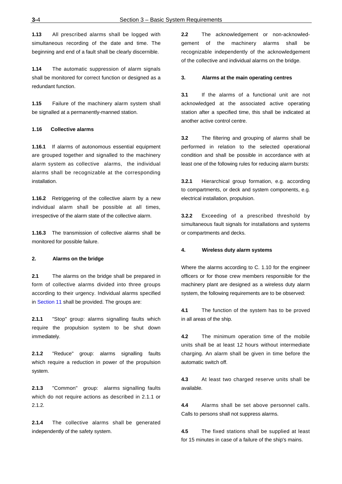**1.13** All prescribed alarms shall be logged with simultaneous recording of the date and time. The beginning and end of a fault shall be clearly discernible.

**1.14** The automatic suppression of alarm signals shall be monitored for correct function or designed as a redundant function.

**1.15** Failure of the machinery alarm system shall be signalled at a permanently-manned station.

#### **1.16 Collective alarms**

**1.16.1** If alarms of autonomous essential equipment are grouped together and signalled to the machinery alarm system as collective alarms, the individual alarms shall be recognizable at the corresponding installation.

**1.16.2** Retriggering of the collective alarm by a new individual alarm shall be possible at all times, irrespective of the alarm state of the collective alarm.

**1.16.3** The transmission of collective alarms shall be monitored for possible failure.

#### **2. Alarms on the bridge**

**2.1** The alarms on the bridge shall be prepared in form of collective alarms divided into three groups according to their urgency. Individual alarms specified in Section 11 shall be provided. The groups are:

**2.1.1** "Stop" group: alarms signalling faults which require the propulsion system to be shut down immediately.

**2.1.2** "Reduce" group: alarms signalling faults which require a reduction in power of the propulsion system.

**2.1.3** "Common" group: alarms signalling faults which do not require actions as described in 2.1.1 or 2.1.2.

**2.1.4** The collective alarms shall be generated independently of the safety system.

**2.2** The acknowledgement or non-acknowledgement of the machinery alarms shall be recognizable independently of the acknowledgement of the collective and individual alarms on the bridge.

#### **3. Alarms at the main operating centres**

**3.1** If the alarms of a functional unit are not acknowledged at the associated active operating station after a specified time, this shall be indicated at another active control centre.

**3.2** The filtering and grouping of alarms shall be performed in relation to the selected operational condition and shall be possible in accordance with at least one of the following rules for reducing alarm bursts:

**3.2.1** Hierarchical group formation, e.g. according to compartments, or deck and system components, e.g. electrical installation, propulsion.

**3.2.2** Exceeding of a prescribed threshold by simultaneous fault signals for installations and systems or compartments and decks.

#### **4. Wireless duty alarm systems**

Where the alarms according to C. 1.10 for the engineer officers or for those crew members responsible for the machinery plant are designed as a wireless duty alarm system, the following requirements are to be observed:

**4.1** The function of the system has to be proved in all areas of the ship.

**4.2** The minimum operation time of the mobile units shall be at least 12 hours without intermediate charging. An alarm shall be given in time before the automatic switch off.

**4.3** At least two charged reserve units shall be available.

**4.4** Alarms shall be set above personnel calls. Calls to persons shall not suppress alarms.

**4.5** The fixed stations shall be supplied at least for 15 minutes in case of a failure of the ship's mains.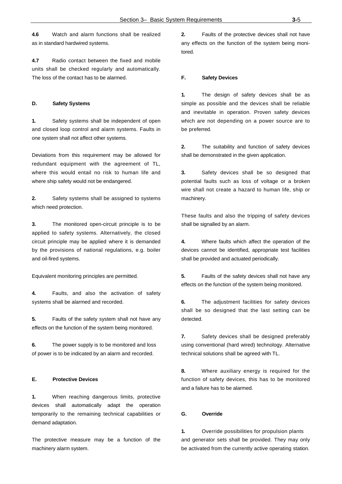**4.6** Watch and alarm functions shall be realized as in standard hardwired systems.

**4.7** Radio contact between the fixed and mobile units shall be checked regularly and automatically. The loss of the contact has to be alarmed.

#### **D. Safety Systems**

**1.** Safety systems shall be independent of open and closed loop control and alarm systems. Faults in one system shall not affect other systems.

Deviations from this requirement may be allowed for redundant equipment with the agreement of TL, where this would entail no risk to human life and where ship safety would not be endangered.

**2.** Safety systems shall be assigned to systems which need protection.

**3.** The monitored open-circuit principle is to be applied to safety systems. Alternatively, the closed circuit principle may be applied where it is demanded by the provisions of national regulations, e.g. boiler and oil-fired systems.

Equivalent monitoring principles are permitted.

**4.** Faults, and also the activation of safety systems shall be alarmed and recorded.

**5.** Faults of the safety system shall not have any effects on the function of the system being monitored.

**6.** The power supply is to be monitored and loss of power is to be indicated by an alarm and recorded.

#### **E. Protective Devices**

**1.** When reaching dangerous limits, protective devices shall automatically adapt the operation temporarily to the remaining technical capabilities or demand adaptation.

The protective measure may be a function of the machinery alarm system.

**2.** Faults of the protective devices shall not have any effects on the function of the system being monitored.

#### **F. Safety Devices**

**1.** The design of safety devices shall be as simple as possible and the devices shall be reliable and inevitable in operation. Proven safety devices which are not depending on a power source are to be preferred.

**2.** The suitability and function of safety devices shall be demonstrated in the given application.

**3.** Safety devices shall be so designed that potential faults such as loss of voltage or a broken wire shall not create a hazard to human life, ship or machinery.

These faults and also the tripping of safety devices shall be signalled by an alarm.

**4.** Where faults which affect the operation of the devices cannot be identified, appropriate test facilities shall be provided and actuated periodically.

**5.** Faults of the safety devices shall not have any effects on the function of the system being monitored.

**6.** The adjustment facilities for safety devices shall be so designed that the last setting can be detected.

**7.** Safety devices shall be designed preferably using conventional (hard wired) technology. Alternative technical solutions shall be agreed with TL.

**8.** Where auxiliary energy is required for the function of safety devices, this has to be monitored and a failure has to be alarmed.

#### **G. Override**

**1.** Override possibilities for propulsion plants and generator sets shall be provided. They may only be activated from the currently active operating station.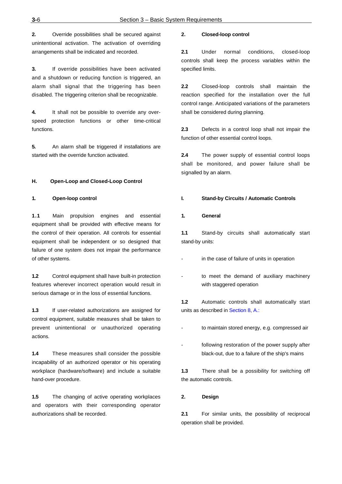**2.** Override possibilities shall be secured against unintentional activation. The activation of overriding arrangements shall be indicated and recorded.

**3.** If override possibilities have been activated and a shutdown or reducing function is triggered, an alarm shall signal that the triggering has been disabled. The triggering criterion shall be recognizable.

**4.** It shall not be possible to override any overspeed protection functions or other time-critical functions.

**5.** An alarm shall be triggered if installations are started with the override function activated.

#### **H. Open-Loop and Closed-Loop Control**

#### **1. Open-loop control**

**1.1** Main propulsion engines and essential equipment shall be provided with effective means for the control of their operation. All controls for essential equipment shall be independent or so designed that failure of one system does not impair the performance of other systems.

**1.2** Control equipment shall have built-in protection features wherever incorrect operation would result in serious damage or in the loss of essential functions.

**1.3** If user-related authorizations are assigned for control equipment, suitable measures shall be taken to prevent unintentional or unauthorized operating actions.

**1.4** These measures shall consider the possible incapability of an authorized operator or his operating workplace (hardware/software) and include a suitable hand-over procedure.

**1.5** The changing of active operating workplaces and operators with their corresponding operator authorizations shall be recorded.

#### **2. Closed-loop control**

**2.1** Under normal conditions, closed-loop controls shall keep the process variables within the specified limits.

**2.2** Closed-loop controls shall maintain the reaction specified for the installation over the full control range. Anticipated variations of the parameters shall be considered during planning.

**2.3** Defects in a control loop shall not impair the function of other essential control loops.

**2.4** The power supply of essential control loops shall be monitored, and power failure shall be signalled by an alarm.

#### **I. Stand-by Circuits / Automatic Controls**

#### **1. General**

**1.1** Stand-by circuits shall automatically start stand-by units:

- in the case of failure of units in operation
- to meet the demand of auxiliary machinery with staggered operation

**1.2** Automatic controls shall automatically start units as described in Section 8, A.:

- to maintain stored energy, e.g. compressed air
- following restoration of the power supply after black-out, due to a failure of the ship's mains

**1.3** There shall be a possibility for switching off the automatic controls.

#### **2. Design**

**2.1** For similar units, the possibility of reciprocal operation shall be provided.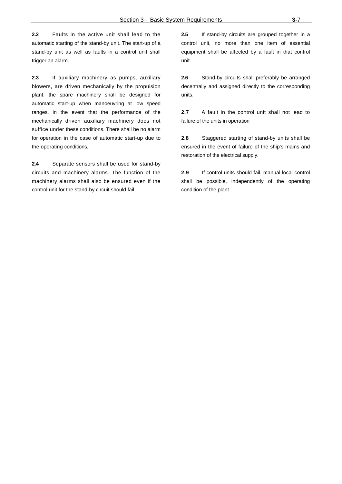**2.2** Faults in the active unit shall lead to the automatic starting of the stand-by unit. The start-up of a stand-by unit as well as faults in a control unit shall trigger an alarm.

**2.3** If auxiliary machinery as pumps, auxiliary blowers, are driven mechanically by the propulsion plant, the spare machinery shall be designed for automatic start-up when manoeuvring at low speed ranges, in the event that the performance of the mechanically driven auxiliary machinery does not suffice under these conditions. There shall be no alarm for operation in the case of automatic start-up due to the operating conditions.

**2.4** Separate sensors shall be used for stand-by circuits and machinery alarms. The function of the machinery alarms shall also be ensured even if the control unit for the stand-by circuit should fail.

**2.5** If stand-by circuits are grouped together in a control unit, no more than one item of essential equipment shall be affected by a fault in that control unit.

**2.6** Stand-by circuits shall preferably be arranged decentrally and assigned directly to the corresponding units.

**2.7** A fault in the control unit shall not lead to failure of the units in operation

**2.8** Staggered starting of stand-by units shall be ensured in the event of failure of the ship's mains and restoration of the electrical supply.

**2.9** If control units should fail, manual local control shall be possible, independently of the operating condition of the plant.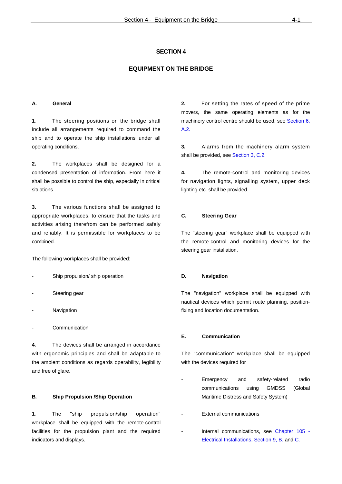#### **EQUIPMENT ON THE BRIDGE**

#### **A. General**

**1.** The steering positions on the bridge shall include all arrangements required to command the ship and to operate the ship installations under all operating conditions.

**2.** The workplaces shall be designed for a condensed presentation of information. From here it shall be possible to control the ship, especially in critical situations.

**3.** The various functions shall be assigned to appropriate workplaces, to ensure that the tasks and activities arising therefrom can be performed safely and reliably. It is permissible for workplaces to be combined.

The following workplaces shall be provided:

- Ship propulsion/ ship operation
- Steering gear
- **Navigation**
- **Communication**

**4.** The devices shall be arranged in accordance with ergonomic principles and shall be adaptable to the ambient conditions as regards operability, legibility and free of glare.

#### **B. Ship Propulsion /Ship Operation**

**1.** The "ship propulsion/ship operation" workplace shall be equipped with the remote-control facilities for the propulsion plant and the required indicators and displays.

**2.** For setting the rates of speed of the prime movers, the same operating elements as for the machinery control centre should be used, see Section 6, A.2.

**3.** Alarms from the machinery alarm system shall be provided, see Section 3, C.2.

**4.** The remote-control and monitoring devices for navigation lights, signalling system, upper deck lighting etc. shall be provided.

#### **C. Steering Gear**

The "steering gear" workplace shall be equipped with the remote-control and monitoring devices for the steering gear installation.

#### **D. Navigation**

The "navigation" workplace shall be equipped with nautical devices which permit route planning, positionfixing and location documentation.

## **E. Communication**

The "communication" workplace shall be equipped with the devices required for

- Emergency and safety-related radio communications using GMDSS (Global Maritime Distress and Safety System)
- External communications
- Internal communications, see Chapter 105 -Electrical Installations, Section 9, B. and C.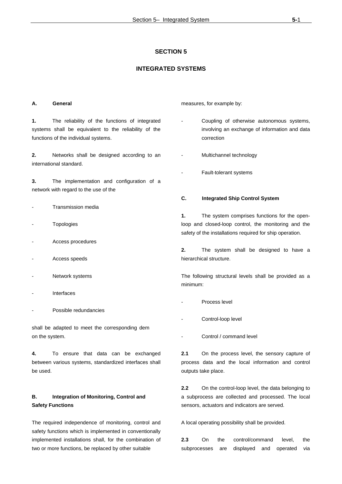## **INTEGRATED SYSTEMS**

#### **A. General**

**1.** The reliability of the functions of integrated systems shall be equivalent to the reliability of the functions of the individual systems.

**2.** Networks shall be designed according to an international standard.

**3.** The implementation and configuration of a network with regard to the use of the

- Transmission media
- **Topologies**
- Access procedures
- Access speeds
- Network systems
- **Interfaces**
- Possible redundancies

shall be adapted to meet the corresponding dem on the system.

**4.** To ensure that data can be exchanged between various systems, standardized interfaces shall be used.

## **B. Integration of Monitoring, Control and Safety Functions**

The required independence of monitoring, control and safety functions which is implemented in conventionally implemented installations shall, for the combination of two or more functions, be replaced by other suitable

measures, for example by:

- Coupling of otherwise autonomous systems, involving an exchange of information and data correction
- Multichannel technology
- Fault-tolerant systems

#### **C. Integrated Ship Control System**

**1.** The system comprises functions for the openloop and closed-loop control, the monitoring and the safety of the installations required for ship operation.

**2.** The system shall be designed to have a hierarchical structure.

The following structural levels shall be provided as a minimum:

- Process level
- Control-loop level
- Control / command level

**2.1** On the process level, the sensory capture of process data and the local information and control outputs take place.

**2.2** On the control-loop level, the data belonging to a subprocess are collected and processed. The local sensors, actuators and indicators are served.

A local operating possibility shall be provided.

**2.3** On the control/command level, the subprocesses are displayed and operated via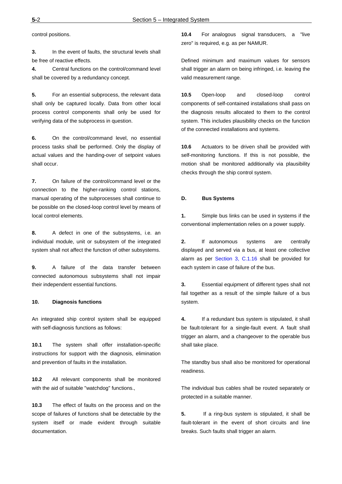control positions.

**3.** In the event of faults, the structural levels shall be free of reactive effects.

**4.** Central functions on the control/command level shall be covered by a redundancy concept.

**5.** For an essential subprocess, the relevant data shall only be captured locally. Data from other local process control components shall only be used for verifying data of the subprocess in question.

**6.** On the control/command level, no essential process tasks shall be performed. Only the display of actual values and the handing-over of setpoint values shall occur.

**7.** On failure of the control/command level or the connection to the higher-ranking control stations, manual operating of the subprocesses shall continue to be possible on the closed-loop control level by means of local control elements.

**8.** A defect in one of the subsystems, i.e. an individual module, unit or subsystem of the integrated system shall not affect the function of other subsystems.

**9.** A failure of the data transfer between connected autonomous subsystems shall not impair their independent essential functions.

#### **10. Diagnosis functions**

An integrated ship control system shall be equipped with self-diagnosis functions as follows:

**10.1** The system shall offer installation-specific instructions for support with the diagnosis, elimination and prevention of faults in the installation.

**10.2** All relevant components shall be monitored with the aid of suitable "watchdog" functions.,

**10.3** The effect of faults on the process and on the scope of failures of functions shall be detectable by the system itself or made evident through suitable documentation.

**10.4** For analogous signal transducers, a "live zero" is required, e.g. as per NAMUR.

Defined minimum and maximum values for sensors shall trigger an alarm on being infringed, i.e. leaving the valid measurement range.

**10.5** Open-loop and closed-loop control components of self-contained installations shall pass on the diagnosis results allocated to them to the control system. This includes plausibility checks on the function of the connected installations and systems.

**10.6** Actuators to be driven shall be provided with self-monitoring functions. If this is not possible, the motion shall be monitored additionally via plausibility checks through the ship control system.

#### **D. Bus Systems**

**1.** Simple bus links can be used in systems if the conventional implementation relies on a power supply.

**2.** If autonomous systems are centrally displayed and served via a bus, at least one collective alarm as per Section 3, C.1.16 shall be provided for each system in case of failure of the bus.

**3.** Essential equipment of different types shall not fail together as a result of the simple failure of a bus system.

**4.** If a redundant bus system is stipulated, it shall be fault-tolerant for a single-fault event. A fault shall trigger an alarm, and a changeover to the operable bus shall take place.

The standby bus shall also be monitored for operational readiness.

The individual bus cables shall be routed separately or protected in a suitable manner.

**5.** If a ring-bus system is stipulated, it shall be fault-tolerant in the event of short circuits and line breaks. Such faults shall trigger an alarm.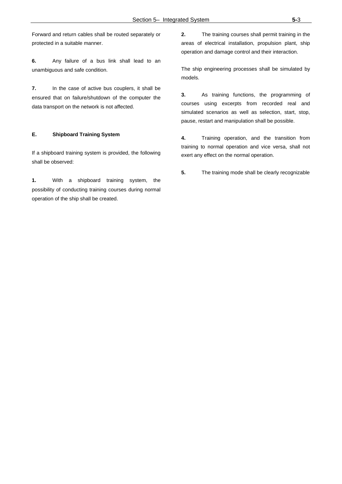Forward and return cables shall be routed separately or protected in a suitable manner.

**6.** Any failure of a bus link shall lead to an unambiguous and safe condition.

**7.** In the case of active bus couplers, it shall be ensured that on failure/shutdown of the computer the data transport on the network is not affected.

#### **E. Shipboard Training System**

If a shipboard training system is provided, the following shall be observed:

**1.** With a shipboard training system, the possibility of conducting training courses during normal operation of the ship shall be created.

**2.** The training courses shall permit training in the areas of electrical installation, propulsion plant, ship operation and damage control and their interaction.

The ship engineering processes shall be simulated by models.

**3.** As training functions, the programming of courses using excerpts from recorded real and simulated scenarios as well as selection, start, stop, pause, restart and manipulation shall be possible.

**4.** Training operation, and the transition from training to normal operation and vice versa, shall not exert any effect on the normal operation.

**5.** The training mode shall be clearly recognizable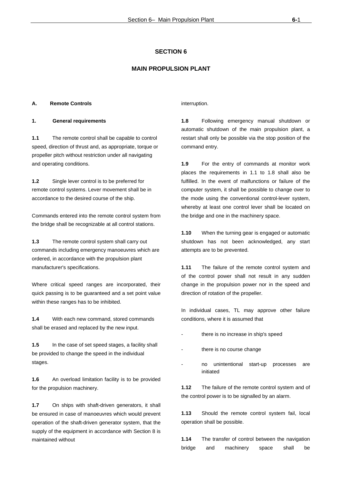## **MAIN PROPULSION PLANT**

#### **A. Remote Controls**

#### **1. General requirements**

**1.1** The remote control shall be capable to control speed, direction of thrust and, as appropriate, torque or propeller pitch without restriction under all navigating and operating conditions.

**1.2** Single lever control is to be preferred for remote control systems. Lever movement shall be in accordance to the desired course of the ship.

Commands entered into the remote control system from the bridge shall be recognizable at all control stations.

**1.3** The remote control system shall carry out commands including emergency manoeuvres which are ordered, in accordance with the propulsion plant manufacturer's specifications.

Where critical speed ranges are incorporated, their quick passing is to be guaranteed and a set point value within these ranges has to be inhibited.

**1.4** With each new command, stored commands shall be erased and replaced by the new input.

**1.5** In the case of set speed stages, a facility shall be provided to change the speed in the individual stages.

**1.6** An overload limitation facility is to be provided for the propulsion machinery.

**1.7** On ships with shaft-driven generators, it shall be ensured in case of manoeuvres which would prevent operation of the shaft-driven generator system, that the supply of the equipment in accordance with Section 8 is maintained without

interruption.

**1.8** Following emergency manual shutdown or automatic shutdown of the main propulsion plant, a restart shall only be possible via the stop position of the command entry.

**1.9** For the entry of commands at monitor work places the requirements in 1.1 to 1.8 shall also be fulfilled. In the event of malfunctions or failure of the computer system, it shall be possible to change over to the mode using the conventional control-lever system, whereby at least one control lever shall be located on the bridge and one in the machinery space.

**1.10** When the turning gear is engaged or automatic shutdown has not been acknowledged, any start attempts are to be prevented.

**1.11** The failure of the remote control system and of the control power shall not result in any sudden change in the propulsion power nor in the speed and direction of rotation of the propeller.

In individual cases, TL may approve other failure conditions, where it is assumed that

- there is no increase in ship's speed
- there is no course change
- no unintentional start-up processes are initiated

**1.12** The failure of the remote control system and of the control power is to be signalled by an alarm.

**1.13** Should the remote control system fail, local operation shall be possible.

**1.14** The transfer of control between the navigation bridge and machinery space shall be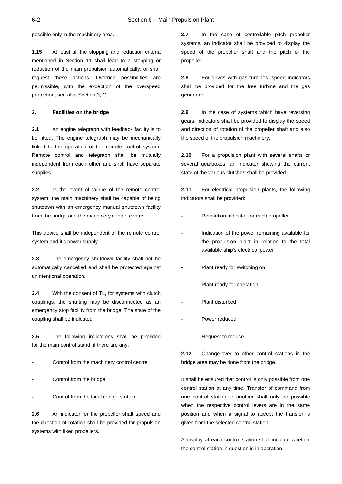possible only in the machinery area.

**1.15** At least all the stopping and reduction criteria mentioned in Section 11 shall lead to a stopping or reduction of the main propulsion automatically, or shall request these actions. Override possibilities are permissible, with the exception of the overspeed protection, see also Section 3, G.

#### **2. Facilities on the bridge**

**2.1** An engine telegraph with feedback facility is to be fitted. The engine telegraph may be mechanically linked to the operation of the remote control system. Remote control and telegraph shall be mutually independent from each other and shall have separate supplies.

**2.2** In the event of failure of the remote control system, the main machinery shall be capable of being shutdown with an emergency manual shutdown facility from the bridge and the machinery control centre.

This device shall be independent of the remote control system and it's power supply.

**2.3** The emergency shutdown facility shall not be automatically cancelled and shall be protected against unintentional operation.

**2.4** With the consent of TL, for systems with clutch couplings, the shafting may be disconnected as an emergency stop facility from the bridge. The state of the coupling shall be indicated.

**2.5** The following indications shall be provided for the main control stand, if there are any:

- Control from the machinery control centre
- Control from the bridge
- Control from the local control station

**2.6** An indicator for the propeller shaft speed and the direction of rotation shall be provided for propulsion systems with fixed propellers.

**2.7** In the case of controllable pitch propeller systems, an indicator shall be provided to display the speed of the propeller shaft and the pitch of the propeller.

**2.8** For drives with gas turbines, speed indicators shall be provided for the free turbine and the gas generator.

**2.9** In the case of systems which have reversing gears, indicators shall be provided to display the speed and direction of rotation of the propeller shaft and also the speed of the propulsion machinery.

**2.10** For a propulsion plant with several shafts or several gearboxes, an indicator showing the current state of the various clutches shall be provided.

**2.11** For electrical propulsion plants, the following indicators shall be provided:

- Revolution indicator for each propeller
- Indication of the power remaining available for the propulsion plant in relation to the total available ship's electrical power
- Plant ready for switching on
- Plant ready for operation
- Plant disturbed
- Power reduced
- Request to reduce

**2.12** Change-over to other control stations in the bridge area may be done from the bridge.

It shall be ensured that control is only possible from one control station at any time. Transfer of command from one control station to another shall only be possible when the respective control levers are in the same position and when a signal to accept the transfer is given from the selected control station.

A display at each control station shall indicate whether the control station in question is in operation.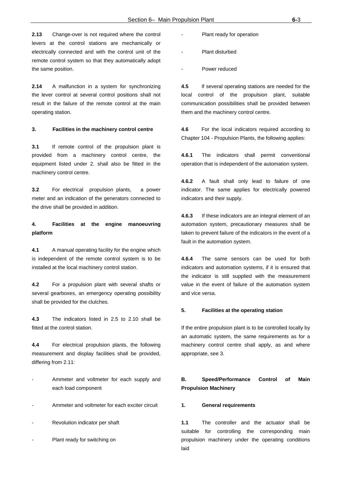**2.13** Change-over is not required where the control levers at the control stations are mechanically or electrically connected and with the control unit of the remote control system so that they automatically adopt the same position.

**2.14** A malfunction in a system for synchronizing the lever control at several control positions shall not result in the failure of the remote control at the main operating station.

#### **3. Facilities in the machinery control centre**

**3.1** If remote control of the propulsion plant is provided from a machinery control centre, the equipment listed under 2. shall also be fitted in the machinery control centre.

**3.2** For electrical propulsion plants, a power meter and an indication of the generators connected to the drive shall be provided in addition.

## **4. Facilities at the engine manoeuvring platform**

**4.1** A manual operating facility for the engine which is independent of the remote control system is to be installed at the local machinery control station.

**4.2** For a propulsion plant with several shafts or several gearboxes, an emergency operating possibility shall be provided for the clutches.

**4.3** The indicators listed in 2.5 to 2.10 shall be fitted at the control station.

**4.4** For electrical propulsion plants, the following measurement and display facilities shall be provided, differing from 2.11:

- Ammeter and voltmeter for each supply and each load component
- Ammeter and voltmeter for each exciter circuit
- Revolution indicator per shaft
- Plant ready for switching on
- Plant ready for operation
- Plant disturbed
- Power reduced

**4.5** If several operating stations are needed for the local control of the propulsion plant, suitable communication possibilities shall be provided between them and the machinery control centre.

**4.6** For the local indicators required according to Chapter 104 - Propulsion Plants, the following applies:

**4.6.1** The indicators shall permit conventional operation that is independent of the automation system.

**4.6.2** A fault shall only lead to failure of one indicator. The same applies for electrically powered indicators and their supply.

**4.6.3** If these indicators are an integral element of an automation system, precautionary measures shall be taken to prevent failure of the indicators in the event of a fault in the automation system.

**4.6.4** The same sensors can be used for both indicators and automation systems, if it is ensured that the indicator is still supplied with the measurement value in the event of failure of the automation system and vice versa.

#### **5. Facilities at the operating station**

If the entire propulsion plant is to be controlled locally by an automatic system, the same requirements as for a machinery control centre shall apply, as and where appropriate, see 3.

## **B. Speed/Performance Control of Main Propulsion Machinery**

#### **1. General requirements**

**1.1** The controller and the actuator shall be suitable for controlling the corresponding main propulsion machinery under the operating conditions laid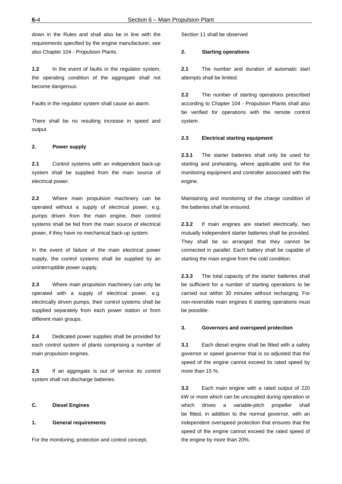down in the Rules and shall also be in line with the requirements specified by the engine manufacturer, see also Chapter 104 - Propulsion Plants.

**1.2** In the event of faults in the regulator system, the operating condition of the aggregate shall not become dangerous.

Faults in the regulator system shall cause an alarm.

There shall be no resulting increase in speed and output.

#### **2. Power supply**

**2.1** Control systems with an independent back-up system shall be supplied from the main source of electrical power.

**2.2** Where main propulsion machinery can be operated without a supply of electrical power, e.g. pumps driven from the main engine, their control systems shall be fed from the main source of electrical power, if they have no mechanical back-up system.

In the event of failure of the main electrical power supply, the control systems shall be supplied by an uninterruptible power supply.

**2.3** Where main propulsion machinery can only be operated with a supply of electrical power, e.g. electrically driven pumps, their control systems shall be supplied separately from each power station or from different main groups.

**2.4** Dedicated power supplies shall be provided for each control system of plants comprising a number of main propulsion engines.

**2.5** If an aggregate is out of service its control system shall not discharge batteries.

#### **C. Diesel Engines**

#### **1. General requirements**

For the monitoring, protection and control concept,

Section 11 shall be observed

#### **2. Starting operations**

**2.1** The number and duration of automatic start attempts shall be limited.

**2.2** The number of starting operations prescribed according to Chapter 104 - Propulsion Plants shall also be verified for operations with the remote control system.

#### **2.3 Electrical starting equipment**

**2.3.1** The starter batteries shall only be used for starting and preheating, where applicable and for the monitoring equipment and controller associated with the engine.

Maintaining and monitoring of the charge condition of the batteries shall be ensured.

**2.3.2** If main engines are started electrically, two mutually independent starter batteries shall be provided. They shall be so arranged that they cannot be connected in parallel. Each battery shall be capable of starting the main engine from the cold condition.

**2.3.3** The total capacity of the starter batteries shall be sufficient for a number of starting operations to be carried out within 30 minutes without recharging. For non-reversible main engines 6 starting operations must be possible.

#### **3. Governors and overspeed protection**

**3.1** Each diesel engine shall be fitted with a safety governor or speed governor that is so adjusted that the speed of the engine cannot exceed its rated speed by more than 15 %.

**3.2** Each main engine with a rated output of 220 kW or more which can be uncoupled during operation or which drives a variable-pitch propeller shall be fitted, in addition to the normal governor, with an independent overspeed protection that ensures that the speed of the engine cannot exceed the rated speed of the engine by more than 20%.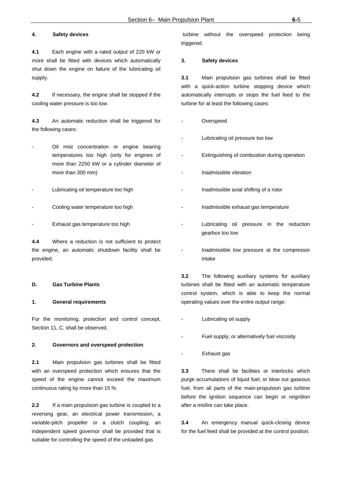## **4. Safety devices**

**4.1** Each engine with a rated output of 220 kW or more shall be fitted with devices which automatically shut down the engine on failure of the lubricating oil supply.

**4.2** If necessary, the engine shall be stopped if the cooling water pressure is too low.

**4.3** An automatic reduction shall be triggered for the following cases:

- Oil mist concentration or engine bearing temperatures too high (only for engines of more than 2250 kW or a cylinder diameter of more than 300 mm)
- Lubricating oil temperature too high
- Cooling water temperature too high
- Exhaust gas temperature too high

**4.4** Where a reduction is not sufficient to protect the engine, an automatic shutdown facility shall be provided.

#### **D. Gas Turbine Plants**

#### **1. General requirements**

For the monitoring, protection and control concept, Section 11, C. shall be observed.

#### **2. Governors and overspeed protection**

**2.1** Main propulsion gas turbines shall be fitted with an overspeed protection which ensures that the speed of the engine cannot exceed the maximum continuous rating by more than 15 %.

**2.2** If a main propulsion gas turbine is coupled to a reversing gear, an electrical power transmission, a variable-pitch propeller or a clutch coupling, an independent speed governor shall be provided that is suitable for controlling the speed of the unloaded gas

 turbine without the overspeed protection being triggered.

#### **3. Safety devices**

**3.1** Main propulsion gas turbines shall be fitted with a quick-action turbine stopping device which automatically interrupts or stops the fuel feed to the turbine for at least the following cases:

- **Overspeed**
- Lubricating oil pressure too low
- Extinguishing of combustion during operation
- Inadmissible vibration
- Inadmissible axial shifting of a rotor
- Inadmissible exhaust gas temperature
- Lubricating oil pressure in the reduction gearbox too low
- Inadmissible low pressure at the compressor intake

**3.2** The following auxiliary systems for auxiliary turbines shall be fitted with an automatic temperature control system, which is able to keep the normal operating values over the entire output range:

- Lubricating oil supply
- Fuel supply, or alternatively fuel viscosity
- Exhaust gas

**3.3** There shall be facilities or interlocks which purge accumulations of liquid fuel, or blow out gaseous fuel, from all parts of the main-propulsion gas turbine before the ignition sequence can begin or reignition after a misfire can take place.

**3.4** An emergency manual quick-closing device for the fuel feed shall be provided at the control position.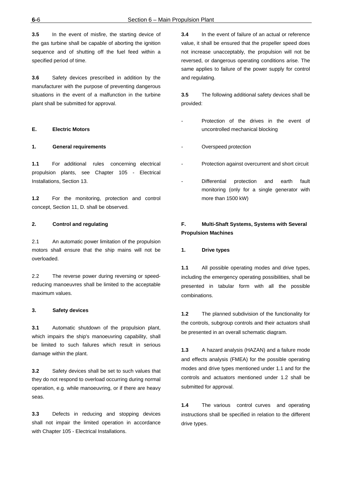**3.5** In the event of misfire, the starting device of the gas turbine shall be capable of aborting the ignition sequence and of shutting off the fuel feed within a specified period of time.

**3.6** Safety devices prescribed in addition by the manufacturer with the purpose of preventing dangerous situations in the event of a malfunction in the turbine plant shall be submitted for approval.

## **E. Electric Motors**

#### **1. General requirements**

**1.1** For additional rules concerning electrical propulsion plants, see Chapter 105 - Electrical Installations, Section 13.

**1.2** For the monitoring, protection and control concept, Section 11, D. shall be observed.

## **2. Control and regulating**

2.1 An automatic power limitation of the propulsion motors shall ensure that the ship mains will not be overloaded.

2.2 The reverse power during reversing or speedreducing manoeuvres shall be limited to the acceptable maximum values.

#### **3. Safety devices**

**3.1** Automatic shutdown of the propulsion plant, which impairs the ship's manoeuvring capability, shall be limited to such failures which result in serious damage within the plant.

**3.2** Safety devices shall be set to such values that they do not respond to overload occurring during normal operation, e.g. while manoeuvring, or if there are heavy seas.

**3.3** Defects in reducing and stopping devices shall not impair the limited operation in accordance with Chapter 105 - Electrical Installations.

**3.4** In the event of failure of an actual or reference value, it shall be ensured that the propeller speed does not increase unacceptably, the propulsion will not be reversed, or dangerous operating conditions arise. The same applies to failure of the power supply for control and regulating.

**3.5** The following additional safety devices shall be provided:

- Protection of the drives in the event of uncontrolled mechanical blocking
- Overspeed protection
- Protection against overcurrent and short circuit
- Differential protection and earth fault monitoring (only for a single generator with more than 1500 kW)

## **F. Multi-Shaft Systems, Systems with Several Propulsion Machines**

#### **1. Drive types**

**1.1** All possible operating modes and drive types, including the emergency operating possibilities, shall be presented in tabular form with all the possible combinations.

**1.2** The planned subdivision of the functionality for the controls, subgroup controls and their actuators shall be presented in an overall schematic diagram.

**1.3** A hazard analysis (HAZAN) and a failure mode and effects analysis (FMEA) for the possible operating modes and drive types mentioned under 1.1 and for the controls and actuators mentioned under 1.2 shall be submitted for approval.

**1.4** The various control curves and operating instructions shall be specified in relation to the different drive types.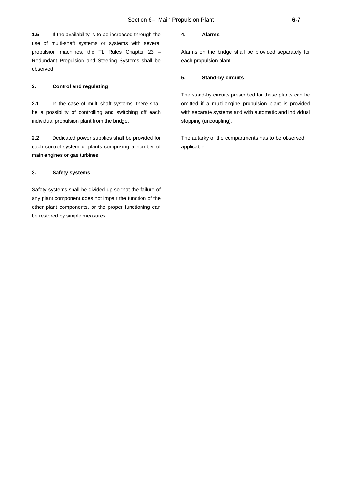**1.5** If the availability is to be increased through the use of multi-shaft systems or systems with several propulsion machines, the TL Rules Chapter 23 – Redundant Propulsion and Steering Systems shall be observed.

## **2. Control and regulating**

**2.1** In the case of multi-shaft systems, there shall be a possibility of controlling and switching off each individual propulsion plant from the bridge.

**2.2** Dedicated power supplies shall be provided for each control system of plants comprising a number of main engines or gas turbines.

#### **3. Safety systems**

Safety systems shall be divided up so that the failure of any plant component does not impair the function of the other plant components, or the proper functioning can be restored by simple measures.

#### **4. Alarms**

Alarms on the bridge shall be provided separately for each propulsion plant.

#### **5. Stand-by circuits**

The stand-by circuits prescribed for these plants can be omitted if a multi-engine propulsion plant is provided with separate systems and with automatic and individual stopping (uncoupling).

The autarky of the compartments has to be observed, if applicable.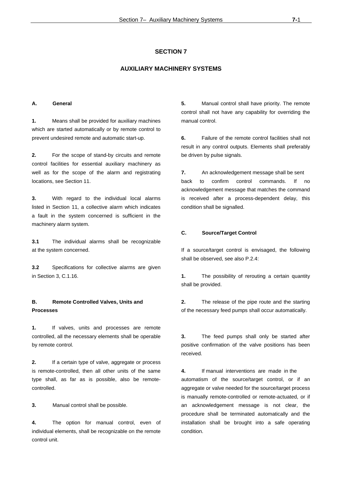## **AUXILIARY MACHINERY SYSTEMS**

#### **A. General**

**1.** Means shall be provided for auxiliary machines which are started automatically or by remote control to prevent undesired remote and automatic start-up.

**2.** For the scope of stand-by circuits and remote control facilities for essential auxiliary machinery as well as for the scope of the alarm and registrating locations, see Section 11.

**3.** With regard to the individual local alarms listed in Section 11, a collective alarm which indicates a fault in the system concerned is sufficient in the machinery alarm system.

**3.1** The individual alarms shall be recognizable at the system concerned.

**3.2** Specifications for collective alarms are given in Section 3, C.1.16.

## **B. Remote Controlled Valves, Units and Processes**

**1.** If valves, units and processes are remote controlled, all the necessary elements shall be operable by remote control.

**2.** If a certain type of valve, aggregate or process is remote-controlled, then all other units of the same type shall, as far as is possible, also be remotecontrolled.

**3.** Manual control shall be possible.

**4.** The option for manual control, even of individual elements, shall be recognizable on the remote control unit.

**5.** Manual control shall have priority. The remote control shall not have any capability for overriding the manual control.

**6.** Failure of the remote control facilities shall not result in any control outputs. Elements shall preferably be driven by pulse signals.

**7.** An acknowledgement message shall be sent back to confirm control commands. If no acknowledgement message that matches the command is received after a process-dependent delay, this condition shall be signalled.

#### **C. Source/Target Control**

If a source/target control is envisaged, the following shall be observed, see also P.2.4:

**1.** The possibility of rerouting a certain quantity shall be provided.

**2.** The release of the pipe route and the starting of the necessary feed pumps shall occur automatically.

**3.** The feed pumps shall only be started after positive confirmation of the valve positions has been received.

**4.** If manual interventions are made in the automatism of the source/target control, or if an aggregate or valve needed for the source/target process is manually remote-controlled or remote-actuated, or if an acknowledgement message is not clear, the procedure shall be terminated automatically and the installation shall be brought into a safe operating condition.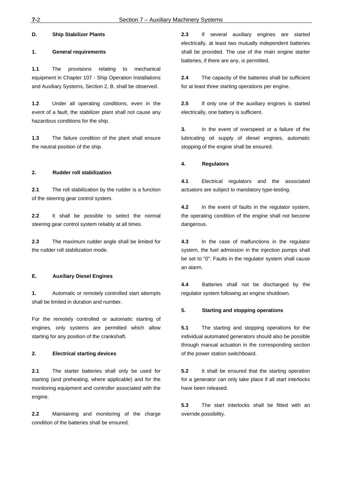## **D. Ship Stabilizer Plants**

#### **1. General requirements**

**1.1** The provisions relating to mechanical equipment in Chapter 107 - Ship Operation Installations and Auxiliary Systems, Section 2, B. shall be observed.

**1.2** Under all operating conditions, even in the event of a fault, the stabilizer plant shall not cause any hazardous conditions for the ship.

**1.3** The failure condition of the plant shall ensure the neutral position of the ship.

#### **2. Rudder roll stabilization**

**2.1** The roll stabilization by the rudder is a function of the steering gear control system.

**2.2** It shall be possible to select the normal steering gear control system reliably at all times.

**2.3** The maximum rudder angle shall be limited for the rudder roll stabilization mode.

#### **E. Auxiliary Diesel Engines**

**1.** Automatic or remotely controlled start attempts shall be limited in duration and number.

For the remotely controlled or automatic starting of engines, only systems are permitted which allow starting for any position of the crankshaft.

#### **2. Electrical starting devices**

**2.1** The starter batteries shall only be used for starting (and preheating, where applicable) and for the monitoring equipment and controller associated with the engine.

**2.2** Maintaining and monitoring of the charge condition of the batteries shall be ensured.

**2.3** If several auxiliary engines are started electrically, at least two mutually independent batteries shall be provided. The use of the main engine starter batteries, if there are any, is permitted.

**2.4** The capacity of the batteries shall be sufficient for at least three starting operations per engine.

**2.5** If only one of the auxiliary engines is started electrically, one battery is sufficient.

**3.** In the event of overspeed or a failure of the lubricating oil supply of diesel engines, automatic stopping of the engine shall be ensured.

#### **4. Regulators**

**4.1** Electrical regulators and the associated actuators are subject to mandatory type-testing.

**4.2** In the event of faults in the regulator system, the operating condition of the engine shall not become dangerous.

**4.3** In the case of malfunctions in the regulator system, the fuel admission in the injection pumps shall be set to "0". Faults in the regulator system shall cause an alarm.

**4.4** Batteries shall not be discharged by the regulator system following an engine shutdown.

#### **5. Starting and stopping operations**

**5.1** The starting and stopping operations for the individual automated generators should also be possible through manual actuation in the corresponding section of the power station switchboard.

**5.2** It shall be ensured that the starting operation for a generator can only take place if all start interlocks have been released.

**5.3** The start interlocks shall be fitted with an override possibility.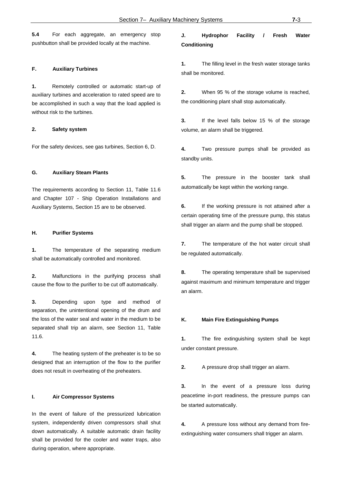**5.4** For each aggregate, an emergency stop pushbutton shall be provided locally at the machine.

#### **F. Auxiliary Turbines**

**1.** Remotely controlled or automatic start-up of auxiliary turbines and acceleration to rated speed are to be accomplished in such a way that the load applied is without risk to the turbines.

#### **2. Safety system**

For the safety devices, see gas turbines, Section 6, D.

#### **G. Auxiliary Steam Plants**

The requirements according to Section 11, Table 11.6 and Chapter 107 - Ship Operation Installations and Auxiliary Systems, Section 15 are to be observed.

#### **H. Purifier Systems**

**1.** The temperature of the separating medium shall be automatically controlled and monitored.

**2.** Malfunctions in the purifying process shall cause the flow to the purifier to be cut off automatically.

**3.** Depending upon type and method of separation, the unintentional opening of the drum and the loss of the water seal and water in the medium to be separated shall trip an alarm, see Section 11, Table 11.6.

**4.** The heating system of the preheater is to be so designed that an interruption of the flow to the purifier does not result in overheating of the preheaters.

#### **I. Air Compressor Systems**

In the event of failure of the pressurized lubrication system, independently driven compressors shall shut down automatically. A suitable automatic drain facility shall be provided for the cooler and water traps, also during operation, where appropriate.

# **J. Hydrophor Facility / Fresh Water Conditioning**

**1.** The filling level in the fresh water storage tanks shall be monitored.

**2.** When 95 % of the storage volume is reached, the conditioning plant shall stop automatically.

**3.** If the level falls below 15 % of the storage volume, an alarm shall be triggered.

**4.** Two pressure pumps shall be provided as standby units.

**5.** The pressure in the booster tank shall automatically be kept within the working range.

**6.** If the working pressure is not attained after a certain operating time of the pressure pump, this status shall trigger an alarm and the pump shall be stopped.

**7.** The temperature of the hot water circuit shall be regulated automatically.

**8.** The operating temperature shall be supervised against maximum and minimum temperature and trigger an alarm.

#### **K. Main Fire Extinguishing Pumps**

**1.** The fire extinguishing system shall be kept under constant pressure.

**2.** A pressure drop shall trigger an alarm.

**3.** In the event of a pressure loss during peacetime in-port readiness, the pressure pumps can be started automatically.

**4.** A pressure loss without any demand from fireextinguishing water consumers shall trigger an alarm.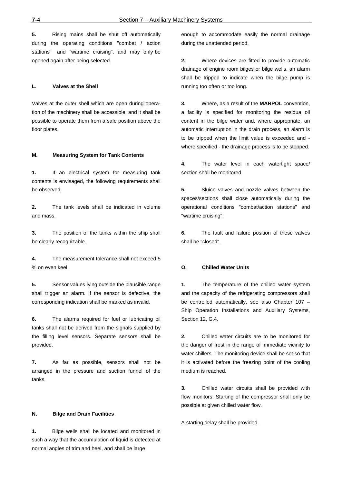**5.** Rising mains shall be shut off automatically during the operating conditions "combat / action stations" and "wartime cruising", and may only be opened again after being selected.

#### **L. Valves at the Shell**

Valves at the outer shell which are open during operation of the machinery shall be accessible, and it shall be possible to operate them from a safe position above the floor plates.

#### **M. Measuring System for Tank Contents**

**1.** If an electrical system for measuring tank contents is envisaged, the following requirements shall be observed:

**2.** The tank levels shall be indicated in volume and mass.

**3.** The position of the tanks within the ship shall be clearly recognizable.

**4.** The measurement tolerance shall not exceed 5 % on even keel.

**5.** Sensor values lying outside the plausible range shall trigger an alarm. If the sensor is defective, the corresponding indication shall be marked as invalid.

**6.** The alarms required for fuel or lubricating oil tanks shall not be derived from the signals supplied by the filling level sensors. Separate sensors shall be provided.

**7.** As far as possible, sensors shall not be arranged in the pressure and suction funnel of the tanks.

#### **N. Bilge and Drain Facilities**

**1.** Bilge wells shall be located and monitored in such a way that the accumulation of liquid is detected at normal angles of trim and heel, and shall be large

enough to accommodate easily the normal drainage during the unattended period.

**2.** Where devices are fitted to provide automatic drainage of engine room bilges or bilge wells, an alarm shall be tripped to indicate when the bilge pump is running too often or too long.

**3.** Where, as a result of the **MARPOL** convention, a facility is specified for monitoring the residua oil content in the bilge water and, where appropriate, an automatic interruption in the drain process, an alarm is to be tripped when the limit value is exceeded and where specified - the drainage process is to be stopped.

**4.** The water level in each watertight space/ section shall be monitored.

**5.** Sluice valves and nozzle valves between the spaces/sections shall close automatically during the operational conditions "combat/action stations" and "wartime cruising".

**6.** The fault and failure position of these valves shall be "closed".

#### **O. Chilled Water Units**

**1.** The temperature of the chilled water system and the capacity of the refrigerating compressors shall be controlled automatically, see also Chapter 107 – Ship Operation Installations and Auxiliary Systems, Section 12, G.4.

**2.** Chilled water circuits are to be monitored for the danger of frost in the range of immediate vicinity to water chillers. The monitoring device shall be set so that it is activated before the freezing point of the cooling medium is reached.

**3.** Chilled water circuits shall be provided with flow monitors. Starting of the compressor shall only be possible at given chilled water flow.

A starting delay shall be provided.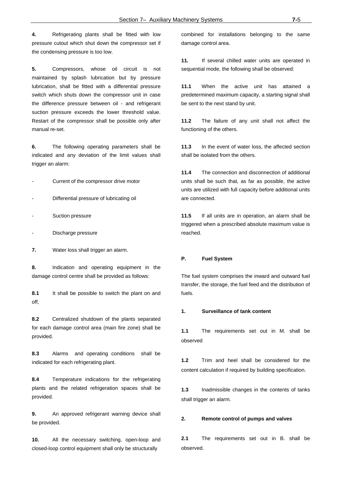**4.** Refrigerating plants shall be fitted with low pressure cutout which shut down the compressor set if the condensing pressure is too low.

**5.** Compressors, whose oil circuit is not maintained by splash lubrication but by pressure lubrication, shall be fitted with a differential pressure switch which shuts down the compressor unit in case the difference pressure between oil - and refrigerant suction pressure exceeds the lower threshold value. Restart of the compressor shall be possible only after manual re-set.

**6.** The following operating parameters shall be indicated and any deviation of the limit values shall trigger an alarm:

- Current of the compressor drive motor
- Differential pressure of lubricating oil
- Suction pressure
- Discharge pressure
- **7.** Water loss shall trigger an alarm.

**8.** Indication and operating equipment in the damage control centre shall be provided as follows:

**8.1** It shall be possible to switch the plant on and off,

**8.2** Centralized shutdown of the plants separated for each damage control area (main fire zone) shall be provided.

**8.3** Alarms and operating conditions shall be indicated for each refrigerating plant.

**8.4** Temperature indications for the refrigerating plants and the related refrigeration spaces shall be provided.

**9.** An approved refrigerant warning device shall be provided.

**10.** All the necessary switching, open-loop and closed-loop control equipment shall only be structurally

combined for installations belonging to the same damage control area.

**11.** If several chilled water units are operated in sequential mode, the following shall be observed:

**11.1** When the active unit has attained a predetermined maximum capacity, a starting signal shall be sent to the next stand by unit.

**11.2** The failure of any unit shall not affect the functioning of the others.

**11.3** In the event of water loss, the affected section shall be isolated from the others.

**11.4** The connection and disconnection of additional units shall be such that, as far as possible, the active units are utilized with full capacity before additional units are connected.

**11.5** If all units are in operation, an alarm shall be triggered when a prescribed absolute maximum value is reached.

#### **P. Fuel System**

The fuel system comprises the inward and outward fuel transfer, the storage, the fuel feed and the distribution of fuels.

#### **1. Surveillance of tank content**

**1.1** The requirements set out in M. shall be observed

**1.2** Trim and heel shall be considered for the content calculation if required by building specification.

**1.3** Inadmissible changes in the contents of tanks shall trigger an alarm.

#### **2. Remote control of pumps and valves**

**2.1** The requirements set out in B. shall be observed.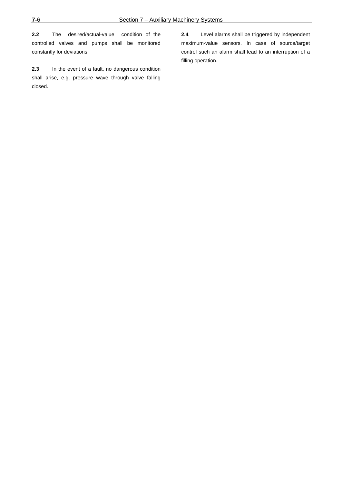**2.2** The desired/actual-value condition of the controlled valves and pumps shall be monitored constantly for deviations.

**2.3** In the event of a fault, no dangerous condition shall arise, e.g. pressure wave through valve falling closed.

**2.4** Level alarms shall be triggered by independent maximum-value sensors. In case of source/target control such an alarm shall lead to an interruption of a filling operation.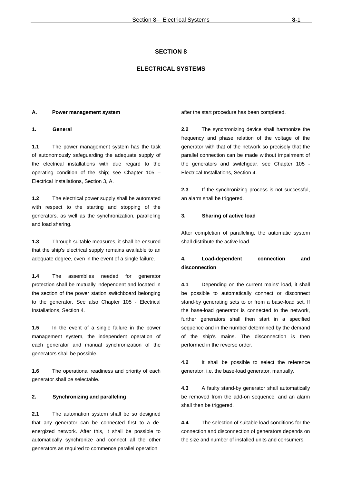## **ELECTRICAL SYSTEMS**

#### **A. Power management system**

#### **1. General**

**1.1** The power management system has the task of autonomously safeguarding the adequate supply of the electrical installations with due regard to the operating condition of the ship; see Chapter 105 – Electrical Installations, Section 3, A.

**1.2** The electrical power supply shall be automated with respect to the starting and stopping of the generators, as well as the synchronization, paralleling and load sharing.

**1.3** Through suitable measures, it shall be ensured that the ship's electrical supply remains available to an adequate degree, even in the event of a single failure.

**1.4** The assemblies needed for generator protection shall be mutually independent and located in the section of the power station switchboard belonging to the generator. See also Chapter 105 - Electrical Installations, Section 4.

**1.5** In the event of a single failure in the power management system, the independent operation of each generator and manual synchronization of the generators shall be possible.

**1.6** The operational readiness and priority of each generator shall be selectable.

#### **2. Synchronizing and paralleling**

**2.1** The automation system shall be so designed that any generator can be connected first to a deenergized network. After this, it shall be possible to automatically synchronize and connect all the other generators as required to commence parallel operation

after the start procedure has been completed.

**2.2** The synchronizing device shall harmonize the frequency and phase relation of the voltage of the generator with that of the network so precisely that the parallel connection can be made without impairment of the generators and switchgear, see Chapter 105 - Electrical Installations, Section 4.

**2.3** If the synchronizing process is not successful, an alarm shall be triggered.

#### **3. Sharing of active load**

After completion of paralleling, the automatic system shall distribute the active load.

## **4. Load-dependent connection and disconnection**

**4.1** Depending on the current mains' load, it shall be possible to automatically connect or disconnect stand-by generating sets to or from a base-load set. If the base-load generator is connected to the network, further generators shall then start in a specified sequence and in the number determined by the demand of the ship's mains. The disconnection is then performed in the reverse order.

**4.2** It shall be possible to select the reference generator, i.e. the base-load generator, manually.

**4.3** A faulty stand-by generator shall automatically be removed from the add-on sequence, and an alarm shall then be triggered.

**4.4** The selection of suitable load conditions for the connection and disconnection of generators depends on the size and number of installed units and consumers.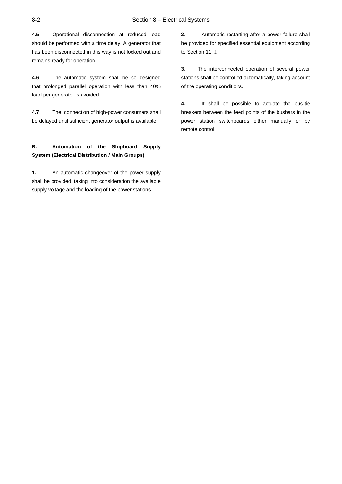**4.5** Operational disconnection at reduced load should be performed with a time delay. A generator that has been disconnected in this way is not locked out and remains ready for operation.

**4.6** The automatic system shall be so designed that prolonged parallel operation with less than 40% load per generator is avoided.

**4.7** The connection of high-power consumers shall be delayed until sufficient generator output is available.

## **B. Automation of the Shipboard Supply System (Electrical Distribution / Main Groups)**

**1.** An automatic changeover of the power supply shall be provided, taking into consideration the available supply voltage and the loading of the power stations.

**2.** Automatic restarting after a power failure shall be provided for specified essential equipment according to Section 11, I.

**3.** The interconnected operation of several power stations shall be controlled automatically, taking account of the operating conditions.

**4.** It shall be possible to actuate the bus-tie breakers between the feed points of the busbars in the power station switchboards either manually or by remote control.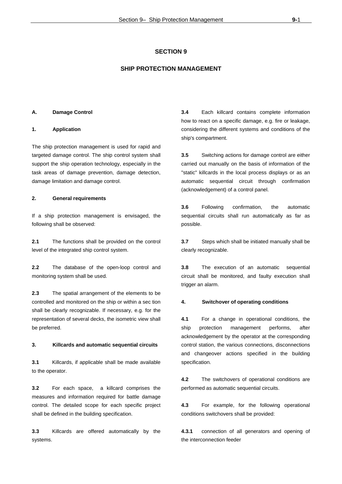## **SHIP PROTECTION MANAGEMENT**

#### **A. Damage Control**

#### **1. Application**

The ship protection management is used for rapid and targeted damage control. The ship control system shall support the ship operation technology, especially in the task areas of damage prevention, damage detection, damage limitation and damage control.

#### **2. General requirements**

If a ship protection management is envisaged, the following shall be observed:

**2.1** The functions shall be provided on the control level of the integrated ship control system.

**2.2** The database of the open-loop control and monitoring system shall be used.

**2.3** The spatial arrangement of the elements to be controlled and monitored on the ship or within a sec tion shall be clearly recognizable. If necessary, e.g. for the representation of several decks, the isometric view shall be preferred.

#### **3. Killcards and automatic sequential circuits**

**3.1** Killcards, if applicable shall be made available to the operator.

**3.2** For each space, a killcard comprises the measures and information required for battle damage control. The detailed scope for each specific project shall be defined in the building specification.

**3.3** Killcards are offered automatically by the systems.

**3.4** Each killcard contains complete information how to react on a specific damage, e.g. fire or leakage, considering the different systems and conditions of the ship's compartment.

**3.5** Switching actions for damage control are either carried out manually on the basis of information of the "static" killcards in the local process displays or as an automatic sequential circuit through confirmation (acknowledgement) of a control panel.

**3.6** Following confirmation, the automatic sequential circuits shall run automatically as far as possible.

**3.7** Steps which shall be initiated manually shall be clearly recognizable.

**3.8** The execution of an automatic sequential circuit shall be monitored, and faulty execution shall trigger an alarm.

#### **4. Switchover of operating conditions**

**4.1** For a change in operational conditions, the ship protection management performs, after acknowledgement by the operator at the corresponding control station, the various connections, disconnections and changeover actions specified in the building specification.

**4.2** The switchovers of operational conditions are performed as automatic sequential circuits.

**4.3** For example, for the following operational conditions switchovers shall be provided:

**4.3.1** connection of all generators and opening of the interconnection feeder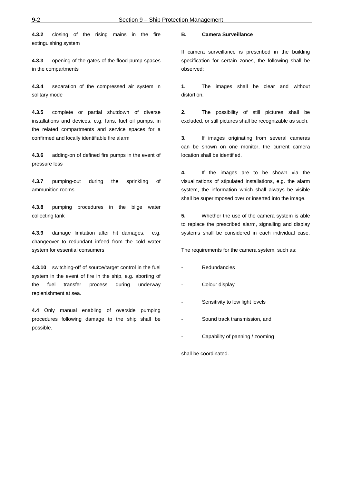**4.3.2** closing of the rising mains in the fire extinguishing system

**4.3.3** opening of the gates of the flood pump spaces in the compartments

**4.3.4** separation of the compressed air system in solitary mode

**4.3.5** complete or partial shutdown of diverse installations and devices, e.g. fans, fuel oil pumps, in the related compartments and service spaces for a confirmed and locally identifiable fire alarm

**4.3.6** adding-on of defined fire pumps in the event of pressure loss

**4.3.7** pumping-out during the sprinkling of ammunition rooms

**4.3.8** pumping procedures in the bilge water collecting tank

**4.3.9** damage limitation after hit damages, e.g. changeover to redundant infeed from the cold water system for essential consumers

**4.3.10** switching-off of source/target control in the fuel system in the event of fire in the ship, e.g. aborting of the fuel transfer process during underway replenishment at sea.

**4.4** Only manual enabling of overside pumping procedures following damage to the ship shall be possible.

#### **B. Camera Surveillance**

If camera surveillance is prescribed in the building specification for certain zones, the following shall be observed:

**1.** The images shall be clear and without distortion.

**2.** The possibility of still pictures shall be excluded, or still pictures shall be recognizable as such.

**3.** If images originating from several cameras can be shown on one monitor, the current camera location shall be identified.

**4.** If the images are to be shown via the visualizations of stipulated installations, e.g. the alarm system, the information which shall always be visible shall be superimposed over or inserted into the image.

**5.** Whether the use of the camera system is able to replace the prescribed alarm, signalling and display systems shall be considered in each individual case.

The requirements for the camera system, such as:

- **Redundancies**
- Colour display
- Sensitivity to low light levels
- Sound track transmission, and
- Capability of panning / zooming

shall be coordinated.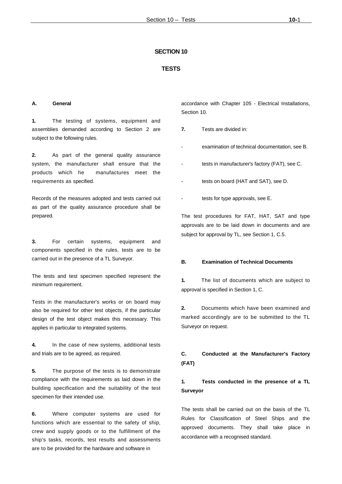#### **TESTS**

#### **A. General**

**1.** The testing of systems, equipment and assemblies demanded according to Section 2 are subject to the following rules.

**2.** As part of the general quality assurance system, the manufacturer shall ensure that the products which he manufactures meet the requirements as specified.

Records of the measures adopted and tests carried out as part of the quality assurance procedure shall be prepared.

**3.** For certain systems, equipment and components specified in the rules, tests are to be carried out in the presence of a TL Surveyor.

The tests and test specimen specified represent the minimum requirement.

Tests in the manufacturer's works or on board may also be required for other test objects, if the particular design of the test object makes this necessary. This applies in particular to integrated systems.

**4.** In the case of new systems, additional tests and trials are to be agreed, as required.

**5.** The purpose of the tests is to demonstrate compliance with the requirements as laid down in the building specification and the suitability of the test specimen for their intended use.

**6.** Where computer systems are used for functions which are essential to the safety of ship, crew and supply goods or to the fulfillment of the ship's tasks, records, test results and assessments are to be provided for the hardware and software in

accordance with Chapter 105 - Electrical Installations, Section 10.

- **7.** Tests are divided in:
- examination of technical documentation, see B.
- tests in manufacturer's factory (FAT), see C.
- tests on board (HAT and SAT), see D.
- tests for type approvals, see E.

The test procedures for FAT, HAT, SAT and type approvals are to be laid down in documents and are subject for approval by TL, see Section 1, C.5.

#### **B. Examination of Technical Documents**

**1.** The list of documents which are subject to approval is specified in Section 1, C.

**2.** Documents which have been examined and marked accordingly are to be submitted to the TL Surveyor on request.

## **C. Conducted at the Manufacturer's Factory (FAT)**

# **1. Tests conducted in the presence of a TL Surveyor**

The tests shall be carried out on the basis of the TL Rules for Classification of Steel Ships and the approved documents. They shall take place in accordance with a recognised standard.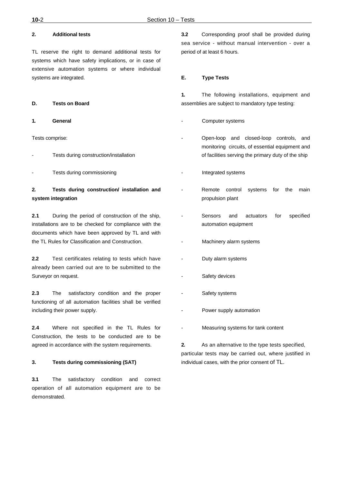## **2. Additional tests**

TL reserve the right to demand additional tests for systems which have safety implications, or in case of extensive automation systems or where individual systems are integrated.

#### **D. Tests on Board**

**1. General**

Tests comprise:

- Tests during construction/installation
- Tests during commissioning

## **2. Tests during construction/ installation and system integration**

**2.1** During the period of construction of the ship, installations are to be checked for compliance with the documents which have been approved by TL and with the TL Rules for Classification and Construction.

**2.2** Test certificates relating to tests which have already been carried out are to be submitted to the Surveyor on request.

**2.3** The satisfactory condition and the proper functioning of all automation facilities shall be verified including their power supply.

**2.4** Where not specified in the TL Rules for Construction, the tests to be conducted are to be agreed in accordance with the system requirements.

#### **3. Tests during commissioning (SAT)**

**3.1** The satisfactory condition and correct operation of all automation equipment are to be demonstrated.

**3.2** Corresponding proof shall be provided during sea service - without manual intervention - over a period of at least 6 hours.

#### **E. Type Tests**

**1.** The following installations, equipment and assemblies are subject to mandatory type testing:

- Computer systems
- Open-loop and closed-loop controls, and monitoring circuits, of essential equipment and of facilities serving the primary duty of the ship
- Integrated systems
- Remote control systems for the main propulsion plant
- Sensors and actuators for specified automation equipment
- Machinery alarm systems
- Duty alarm systems
- Safety devices
- Safety systems
- Power supply automation
- Measuring systems for tank content

**2.** As an alternative to the type tests specified, particular tests may be carried out, where justified in individual cases, with the prior consent of TL.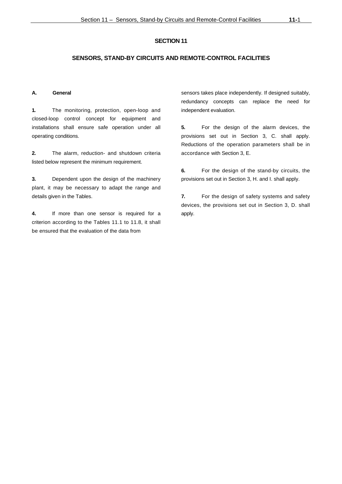#### **SENSORS, STAND-BY CIRCUITS AND REMOTE-CONTROL FACILITIES**

#### **A. General**

**1.** The monitoring, protection, open-loop and closed-loop control concept for equipment and installations shall ensure safe operation under all operating conditions.

**2.** The alarm, reduction- and shutdown criteria listed below represent the minimum requirement.

**3.** Dependent upon the design of the machinery plant, it may be necessary to adapt the range and details given in the Tables.

**4.** If more than one sensor is required for a criterion according to the Tables 11.1 to 11.8, it shall be ensured that the evaluation of the data from

sensors takes place independently. If designed suitably, redundancy concepts can replace the need for independent evaluation.

**5.** For the design of the alarm devices, the provisions set out in Section 3, C. shall apply. Reductions of the operation parameters shall be in accordance with Section 3, E.

**6.** For the design of the stand-by circuits, the provisions set out in Section 3, H. and I. shall apply.

**7.** For the design of safety systems and safety devices, the provisions set out in Section 3, D. shall apply.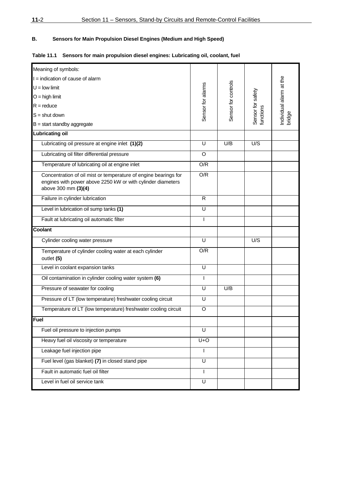## **B. Sensors for Main Propulsion Diesel Engines (Medium and High Speed)**

## **Table 11.1 Sensors for main propulsion diesel engines: Lubricating oil, coolant, fuel**

| Meaning of symbols:                                                                                                                                   |                   |                     |                                |                         |
|-------------------------------------------------------------------------------------------------------------------------------------------------------|-------------------|---------------------|--------------------------------|-------------------------|
| I = indication of cause of alarm                                                                                                                      |                   |                     |                                |                         |
| $U =$ low limit                                                                                                                                       |                   |                     |                                |                         |
| $O =$ high limit                                                                                                                                      | Sensor for alarms | Sensor for controls |                                | Individual alarm at the |
|                                                                                                                                                       |                   |                     |                                |                         |
| $R =$ reduce                                                                                                                                          |                   |                     |                                |                         |
| $S =$ shut down                                                                                                                                       |                   |                     | Sensor for safety<br>functions | bridge                  |
| $B = start$ standby aggregate                                                                                                                         |                   |                     |                                |                         |
| <b>Lubricating oil</b>                                                                                                                                |                   |                     |                                |                         |
| Lubricating oil pressure at engine inlet (1)(2)                                                                                                       | U                 | U/B                 | U/S                            |                         |
| Lubricating oil filter differential pressure                                                                                                          | O                 |                     |                                |                         |
| Temperature of lubricating oil at engine inlet                                                                                                        | O/R               |                     |                                |                         |
| Concentration of oil mist or temperature of engine bearings for<br>engines with power above 2250 kW or with cylinder diameters<br>above 300 mm (3)(4) | O/R               |                     |                                |                         |
| Failure in cylinder lubrication                                                                                                                       | R                 |                     |                                |                         |
| Level in lubrication oil sump tanks (1)                                                                                                               | U                 |                     |                                |                         |
| Fault at lubricating oil automatic filter                                                                                                             | $\mathsf{I}$      |                     |                                |                         |
| <b>Coolant</b>                                                                                                                                        |                   |                     |                                |                         |
| Cylinder cooling water pressure                                                                                                                       | U                 |                     | U/S                            |                         |
| Temperature of cylinder cooling water at each cylinder<br>outlet (5)                                                                                  | O/R               |                     |                                |                         |
| Level in coolant expansion tanks                                                                                                                      | U                 |                     |                                |                         |
| Oil contamination in cylinder cooling water system (6)                                                                                                | $\mathsf{I}$      |                     |                                |                         |
| Pressure of seawater for cooling                                                                                                                      | U                 | U/B                 |                                |                         |
| Pressure of LT (low temperature) freshwater cooling circuit                                                                                           | U                 |                     |                                |                         |
| Temperature of LT (low temperature) freshwater cooling circuit                                                                                        | O                 |                     |                                |                         |
| Fuel                                                                                                                                                  |                   |                     |                                |                         |
| Fuel oil pressure to injection pumps                                                                                                                  | U                 |                     |                                |                         |
| Heavy fuel oil viscosity or temperature                                                                                                               | $U+O$             |                     |                                |                         |
| Leakage fuel injection pipe                                                                                                                           |                   |                     |                                |                         |
| Fuel level (gas blanket) (7) in closed stand pipe                                                                                                     | U                 |                     |                                |                         |
| Fault in automatic fuel oil filter                                                                                                                    | $\mathsf{I}$      |                     |                                |                         |
| Level in fuel oil service tank                                                                                                                        | U                 |                     |                                |                         |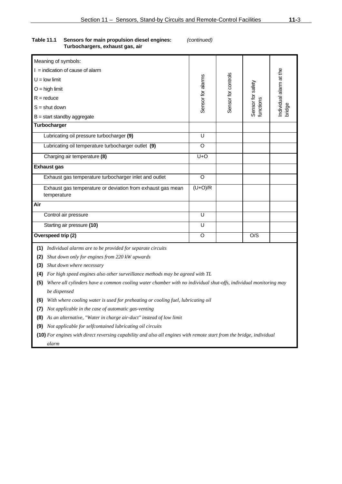| Table 11.1 | Sensors for main propulsion diesel engines: |
|------------|---------------------------------------------|
|            | Turbochargers, exhaust gas, air             |

**Table 11.1 Sensors for main propulsion diesel engines:** *(continued)* 

| Meaning of symbols:                                                                                                  |                    |                     |                                |                                   |
|----------------------------------------------------------------------------------------------------------------------|--------------------|---------------------|--------------------------------|-----------------------------------|
| $I =$ indication of cause of alarm                                                                                   |                    |                     |                                |                                   |
| $U =$ low limit                                                                                                      |                    |                     |                                |                                   |
| $O =$ high limit                                                                                                     |                    |                     |                                |                                   |
| $R =$ reduce                                                                                                         |                    |                     |                                |                                   |
| $S =$ shut down                                                                                                      | Sensor for alarms  | Sensor for controls | Sensor for safety<br>functions | Individual alarm at the<br>bridge |
| $B = start$ standby aggregate                                                                                        |                    |                     |                                |                                   |
| Turbocharger                                                                                                         |                    |                     |                                |                                   |
| Lubricating oil pressure turbocharger (9)                                                                            | U                  |                     |                                |                                   |
| Lubricating oil temperature turbocharger outlet (9)                                                                  | O                  |                     |                                |                                   |
| Charging air temperature (8)                                                                                         | U+O                |                     |                                |                                   |
| <b>Exhaust gas</b>                                                                                                   |                    |                     |                                |                                   |
| Exhaust gas temperature turbocharger inlet and outlet                                                                | $\overline{\circ}$ |                     |                                |                                   |
| Exhaust gas temperature or deviation from exhaust gas mean<br>temperature                                            | $(U+O)/R$          |                     |                                |                                   |
| Air                                                                                                                  |                    |                     |                                |                                   |
| Control air pressure                                                                                                 | U                  |                     |                                |                                   |
| Starting air pressure (10)                                                                                           | U                  |                     |                                |                                   |
| Overspeed trip (2)                                                                                                   | O                  |                     | O/S                            |                                   |
| (1) Individual alarms are to be provided for separate circuits                                                       |                    |                     |                                |                                   |
| Shut down only for engines from 220 kW upwards<br>(2)                                                                |                    |                     |                                |                                   |
| Shut down where necessary<br>(3)                                                                                     |                    |                     |                                |                                   |
| (4) For high speed engines also other surveillance methods may be agreed with TL                                     |                    |                     |                                |                                   |
| (5) Where all cylinders have a common cooling water chamber with no individual shut-offs, individual monitoring may  |                    |                     |                                |                                   |
| be dispensed                                                                                                         |                    |                     |                                |                                   |
| (6) With where cooling water is used for preheating or cooling fuel, lubricating oil                                 |                    |                     |                                |                                   |
| Not applicable in the case of automatic gas-venting<br>(7)                                                           |                    |                     |                                |                                   |
| As an alternative, "Water in charge air-duct" instead of low limit<br>(8)                                            |                    |                     |                                |                                   |
| (9) Not applicable for selfcontained lubricating oil circuits                                                        |                    |                     |                                |                                   |
| (10) For engines with direct reversing capability and also all engines with remote start from the bridge, individual |                    |                     |                                |                                   |
| alarm                                                                                                                |                    |                     |                                |                                   |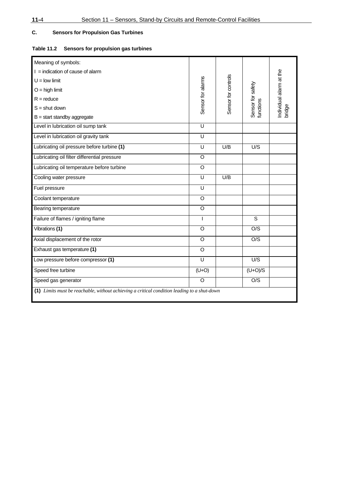## **C. Sensors for Propulsion Gas Turbines**

## **Table 11.2 Sensors for propulsion gas turbines**

| Meaning of symbols:                                                                         |                         |                     |                                |                         |  |
|---------------------------------------------------------------------------------------------|-------------------------|---------------------|--------------------------------|-------------------------|--|
| $I =$ indication of cause of alarm                                                          |                         |                     |                                |                         |  |
| $U =$ low limit                                                                             |                         |                     |                                |                         |  |
| $O =$ high limit                                                                            |                         |                     |                                |                         |  |
| $R =$ reduce                                                                                | Sensor for alarms       | Sensor for controls | Sensor for safety<br>functions | individual alarm at the |  |
| $S =$ shut down                                                                             |                         |                     |                                | bridge                  |  |
| $B = start$ standby aggregate                                                               |                         |                     |                                |                         |  |
| Level in lubrication oil sump tank                                                          | U                       |                     |                                |                         |  |
| Level in lubrication oil gravity tank                                                       | U                       |                     |                                |                         |  |
| Lubricating oil pressure before turbine (1)                                                 | $\overline{\mathsf{U}}$ | U/B                 | U/S                            |                         |  |
| Lubricating oil filter differential pressure                                                | O                       |                     |                                |                         |  |
| Lubricating oil temperature before turbine                                                  | $\circ$                 |                     |                                |                         |  |
| Cooling water pressure                                                                      | U                       | U/B                 |                                |                         |  |
| Fuel pressure                                                                               | U                       |                     |                                |                         |  |
| Coolant temperature                                                                         | O                       |                     |                                |                         |  |
| Bearing temperature                                                                         | O                       |                     |                                |                         |  |
| Failure of flames / igniting flame                                                          | $\overline{1}$          |                     | S                              |                         |  |
| Vibrations (1)                                                                              | O                       |                     | $\overline{OS}$                |                         |  |
| Axial displacement of the rotor                                                             | O                       |                     | O/S                            |                         |  |
| Exhaust gas temperature (1)                                                                 | $\overline{0}$          |                     |                                |                         |  |
| Low pressure before compressor (1)                                                          | U                       |                     | U/S                            |                         |  |
| Speed free turbine                                                                          | $(U+O)$                 |                     | $(U+O)/S$                      |                         |  |
| Speed gas generator                                                                         | O                       |                     | O/S                            |                         |  |
| (1) Limits must be reachable, without achieving a critical condition leading to a shut-down |                         |                     |                                |                         |  |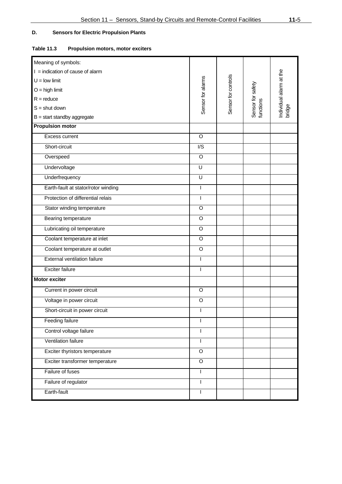## **D. Sensors for Electric Propulsion Plants**

## **Table 11.3 Propulsion motors, motor exciters**

| Meaning of symbols:                 |                   |                     |                                |                                   |
|-------------------------------------|-------------------|---------------------|--------------------------------|-----------------------------------|
| $I =$ indication of cause of alarm  |                   |                     |                                |                                   |
| $U =$ low limit                     |                   |                     |                                |                                   |
| $O =$ high limit                    |                   |                     |                                |                                   |
| $R = reduce$                        |                   |                     |                                |                                   |
| $S =$ shut down                     | Sensor for alarms | Sensor for controls | Sensor for safety<br>functions | Individual alarm at the<br>bridge |
| $B = start$ standby aggregate       |                   |                     |                                |                                   |
| <b>Propulsion motor</b>             |                   |                     |                                |                                   |
| Excess current                      | $\circ$           |                     |                                |                                   |
| Short-circuit                       | I/S               |                     |                                |                                   |
| Overspeed                           | $\circ$           |                     |                                |                                   |
| Undervoltage                        | U                 |                     |                                |                                   |
| Underfrequency                      | $\overline{U}$    |                     |                                |                                   |
| Earth-fault at stator/rotor winding | $\overline{1}$    |                     |                                |                                   |
| Protection of differential relais   | $\mathsf{I}$      |                     |                                |                                   |
| Stator winding temperature          | O                 |                     |                                |                                   |
| Bearing temperature                 | $\circ$           |                     |                                |                                   |
| Lubricating oil temperature         | $\circ$           |                     |                                |                                   |
| Coolant temperature at inlet        | $\circ$           |                     |                                |                                   |
| Coolant temperature at outlet       | $\circ$           |                     |                                |                                   |
| <b>External ventilation failure</b> | $\mathsf{I}$      |                     |                                |                                   |
| <b>Exciter failure</b>              | $\mathsf{I}$      |                     |                                |                                   |
| <b>Motor exciter</b>                |                   |                     |                                |                                   |
| Current in power circuit            | $\circ$           |                     |                                |                                   |
| Voltage in power circuit            | $\circ$           |                     |                                |                                   |
| Short-circuit in power circuit      |                   |                     |                                |                                   |
| <b>Feeding failure</b>              | I                 |                     |                                |                                   |
| Control voltage failure             | I                 |                     |                                |                                   |
| Ventilation failure                 | $\mathbf{I}$      |                     |                                |                                   |
| Exciter thyristors temperature      | $\circ$           |                     |                                |                                   |
| Exciter transformer temperature     | $\circ$           |                     |                                |                                   |
| Failure of fuses                    | $\mathsf{I}$      |                     |                                |                                   |
| Failure of regulator                | I                 |                     |                                |                                   |
| Earth-fault                         | I                 |                     |                                |                                   |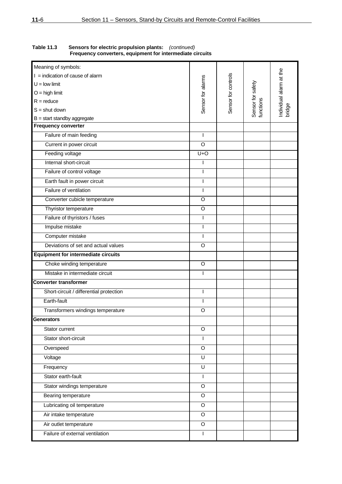| Meaning of symbols:                        |                   |                     |                                |                                   |
|--------------------------------------------|-------------------|---------------------|--------------------------------|-----------------------------------|
| $I =$ indication of cause of alarm         |                   |                     |                                |                                   |
| $U =$ low limit                            |                   |                     |                                |                                   |
| $O =$ high limit                           |                   |                     |                                |                                   |
| $R =$ reduce                               |                   |                     |                                |                                   |
| $S =$ shut down                            | Sensor for alarms | Sensor for controls | Sensor for safety<br>functions | Individual alarm at the<br>bridge |
| $B = start$ standby aggregate              |                   |                     |                                |                                   |
| <b>Frequency converter</b>                 |                   |                     |                                |                                   |
| Failure of main feeding                    | ı                 |                     |                                |                                   |
| Current in power circuit                   | $\circ$           |                     |                                |                                   |
| Feeding voltage                            | $U+O$             |                     |                                |                                   |
| Internal short-circuit                     |                   |                     |                                |                                   |
| Failure of control voltage                 | I                 |                     |                                |                                   |
| Earth fault in power circuit               | I                 |                     |                                |                                   |
| Failure of ventilation                     | I                 |                     |                                |                                   |
| Converter cubicle temperature              | O                 |                     |                                |                                   |
| Thyristor temperature                      | O                 |                     |                                |                                   |
| Failure of thyristors / fuses              |                   |                     |                                |                                   |
| Impulse mistake                            | ı                 |                     |                                |                                   |
| Computer mistake                           | T                 |                     |                                |                                   |
| Deviations of set and actual values        | $\overline{O}$    |                     |                                |                                   |
| <b>Equipment for intermediate circuits</b> |                   |                     |                                |                                   |
| Choke winding temperature                  | O                 |                     |                                |                                   |
| Mistake in intermediate circuit            | L                 |                     |                                |                                   |
| <b>Converter transformer</b>               |                   |                     |                                |                                   |
| Short-circuit / differential protection    | I                 |                     |                                |                                   |
| Earth-fault                                | I                 |                     |                                |                                   |
| Transformers windings temperature          | O                 |                     |                                |                                   |
| <b>Generators</b>                          |                   |                     |                                |                                   |
| Stator current                             | O                 |                     |                                |                                   |
| Stator short-circuit                       | L                 |                     |                                |                                   |
| Overspeed                                  | O                 |                     |                                |                                   |
| Voltage                                    | U                 |                     |                                |                                   |
| Frequency                                  | U                 |                     |                                |                                   |
| Stator earth-fault                         | ı                 |                     |                                |                                   |
| Stator windings temperature                | O                 |                     |                                |                                   |
| Bearing temperature                        | O                 |                     |                                |                                   |
| Lubricating oil temperature                | $\overline{O}$    |                     |                                |                                   |
| Air intake temperature                     | O                 |                     |                                |                                   |
| Air outlet temperature                     | $\circ$           |                     |                                |                                   |
| Failure of external ventilation            | $\mathbf{I}$      |                     |                                |                                   |
|                                            |                   |                     |                                |                                   |

## **Table 11.3 Sensors for electric propulsion plants:** *(continued)* **Frequency converters, equipment for intermediate circuits**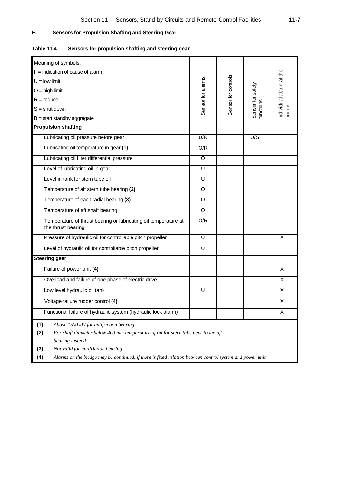## **E. Sensors for Propulsion Shafting and Steering Gear**

## **Table 11.4 Sensors for propulsion shafting and steering gear**

| Meaning of symbols:                                                                                            |                   |                     |                                |                         |
|----------------------------------------------------------------------------------------------------------------|-------------------|---------------------|--------------------------------|-------------------------|
| $I =$ indication of cause of alarm                                                                             |                   |                     |                                |                         |
| $U =$ low limit                                                                                                |                   |                     |                                |                         |
| $O =$ high limit                                                                                               | Sensor for alarms | Sensor for controls | Sensor for safety<br>functions | individual alarm at the |
| $R =$ reduce                                                                                                   |                   |                     |                                |                         |
| $S =$ shut down                                                                                                |                   |                     |                                | bridge                  |
| $B = start$ standby aggregate                                                                                  |                   |                     |                                |                         |
| <b>Propulsion shafting</b>                                                                                     |                   |                     |                                |                         |
| Lubricating oil pressure before gear                                                                           | U/R               |                     | U/S                            |                         |
| Lubricating oil temperature in gear (1)                                                                        | O/R               |                     |                                |                         |
| Lubricating oil filter differential pressure                                                                   | O                 |                     |                                |                         |
| Level of lubricating oil in gear                                                                               | U                 |                     |                                |                         |
| Level in tank for stern tube oil                                                                               | U                 |                     |                                |                         |
| Temperature of aft stern tube bearing (2)                                                                      | O                 |                     |                                |                         |
| Temperature of each radial bearing (3)                                                                         | O                 |                     |                                |                         |
| Temperature of aft shaft bearing                                                                               | O                 |                     |                                |                         |
| Temperature of thrust bearing or lubricating oil temperature at<br>the thrust bearing                          | O/R               |                     |                                |                         |
| Pressure of hydraulic oil for controllable pitch propeller                                                     | U                 |                     |                                | X                       |
| Level of hydraulic oil for controllable pitch propeller                                                        | U                 |                     |                                |                         |
| <b>Steering gear</b>                                                                                           |                   |                     |                                |                         |
| Failure of power unit (4)                                                                                      | T                 |                     |                                | X                       |
| Overload and failure of one phase of electric drive                                                            |                   |                     |                                | X                       |
| Low level hydraulic oil tank                                                                                   | U                 |                     |                                | X                       |
| Voltage failure rudder control (4)                                                                             | I                 |                     |                                | X                       |
| Functional failure of hydraulic system (hydraulic lock alarm)                                                  |                   |                     |                                | Χ                       |
| Above 1500 kW for antifriction bearing<br>(1)                                                                  |                   |                     |                                |                         |
| For shaft diameter below 400 mm temperature of oil for stern tube near to the aft<br>(2)                       |                   |                     |                                |                         |
| bearing instead<br>Not valid for antifriction bearing<br>(3)                                                   |                   |                     |                                |                         |
| (4)<br>Alarms on the bridge may be continued, if there is fixed relation between control system and power unit |                   |                     |                                |                         |
|                                                                                                                |                   |                     |                                |                         |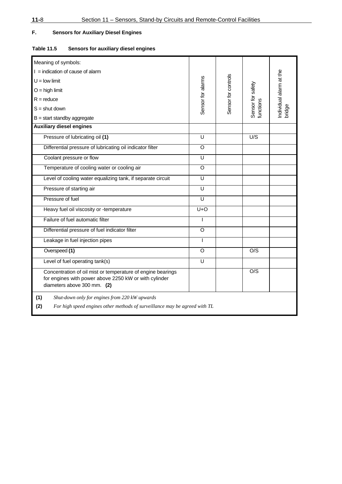## **F. Sensors for Auxiliary Diesel Engines**

## **Table 11.5 Sensors for auxiliary diesel engines**

| Meaning of symbols:                                                                                                                                 |                         |                     |                                |                                   |
|-----------------------------------------------------------------------------------------------------------------------------------------------------|-------------------------|---------------------|--------------------------------|-----------------------------------|
| $I =$ indication of cause of alarm                                                                                                                  |                         |                     |                                |                                   |
| $U =$ low limit                                                                                                                                     |                         |                     |                                |                                   |
| $O =$ high limit                                                                                                                                    |                         |                     |                                |                                   |
| $R =$ reduce                                                                                                                                        |                         |                     |                                |                                   |
| $S =$ shut down                                                                                                                                     | Sensor for alarms       | Sensor for controls | Sensor for safety<br>functions | Individual alarm at the<br>bridge |
| $B = start$ standby aggregate                                                                                                                       |                         |                     |                                |                                   |
| <b>Auxiliary diesel engines</b>                                                                                                                     |                         |                     |                                |                                   |
| Pressure of lubricating oil (1)                                                                                                                     | U                       |                     | U/S                            |                                   |
| Differential pressure of lubricating oil indicator filter                                                                                           | $\circ$                 |                     |                                |                                   |
| Coolant pressure or flow                                                                                                                            | U                       |                     |                                |                                   |
| Temperature of cooling water or cooling air                                                                                                         | $\circ$                 |                     |                                |                                   |
| Level of cooling water equalizing tank, if separate circuit                                                                                         | $\overline{\mathsf{U}}$ |                     |                                |                                   |
| Pressure of starting air                                                                                                                            | U                       |                     |                                |                                   |
| Pressure of fuel                                                                                                                                    | $\overline{U}$          |                     |                                |                                   |
| Heavy fuel oil viscosity or -temperature                                                                                                            | $U+O$                   |                     |                                |                                   |
| Failure of fuel automatic filter                                                                                                                    | ı                       |                     |                                |                                   |
| Differential pressure of fuel indicator filter                                                                                                      | $\circ$                 |                     |                                |                                   |
| Leakage in fuel injection pipes                                                                                                                     | $\mathsf{I}$            |                     |                                |                                   |
| Overspeed (1)                                                                                                                                       | O                       |                     | O/S                            |                                   |
| Level of fuel operating tank(s)                                                                                                                     | U                       |                     |                                |                                   |
| Concentration of oil mist or temperature of engine bearings<br>for engines with power above 2250 kW or with cylinder<br>diameters above 300 mm. (2) |                         |                     | O/S                            |                                   |
| (1)<br>Shut-down only for engines from 220 kW upwards<br>(2)<br>For high speed engines other methods of surveillance may be agreed with TL          |                         |                     |                                |                                   |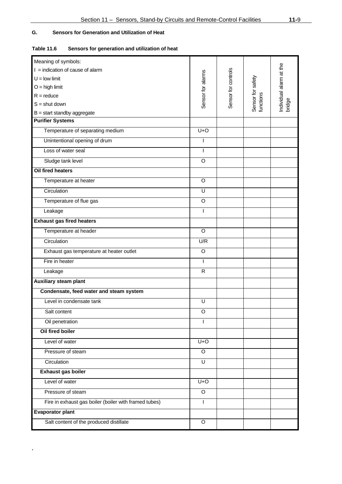## **G. Sensors for Generation and Utilization of Heat**

**.**

| <b>Table 11.6</b> | Sensors for generation and utilization of heat |  |
|-------------------|------------------------------------------------|--|
|                   |                                                |  |

| Meaning of symbols:                                   |                   |                     |                                |                                   |
|-------------------------------------------------------|-------------------|---------------------|--------------------------------|-----------------------------------|
| $I =$ indication of cause of alarm                    |                   |                     |                                |                                   |
| $U =$ low limit                                       |                   |                     |                                |                                   |
| $O =$ high limit                                      | Sensor for alarms | Sensor for controls |                                |                                   |
| $R =$ reduce                                          |                   |                     |                                |                                   |
| $S =$ shut down                                       |                   |                     | Sensor for safety<br>functions | Individual alarm at the<br>bridge |
| $B = start$ standby aggregate                         |                   |                     |                                |                                   |
| <b>Purifier Systems</b>                               |                   |                     |                                |                                   |
| Temperature of separating medium                      | $U+O$             |                     |                                |                                   |
| Unintentional opening of drum                         |                   |                     |                                |                                   |
| Loss of water seal                                    | $\mathbf{I}$      |                     |                                |                                   |
| Sludge tank level                                     | O                 |                     |                                |                                   |
| <b>Oil fired heaters</b>                              |                   |                     |                                |                                   |
| Temperature at heater                                 | O                 |                     |                                |                                   |
| Circulation                                           | U                 |                     |                                |                                   |
| Temperature of flue gas                               | $\circ$           |                     |                                |                                   |
| Leakage                                               | ı                 |                     |                                |                                   |
| <b>Exhaust gas fired heaters</b>                      |                   |                     |                                |                                   |
| Temperature at header                                 | O                 |                     |                                |                                   |
| Circulation                                           | U/R               |                     |                                |                                   |
| Exhaust gas temperature at heater outlet              | O                 |                     |                                |                                   |
| Fire in heater                                        | $\mathbf{I}$      |                     |                                |                                   |
| Leakage                                               | $\mathsf{R}$      |                     |                                |                                   |
| <b>Auxiliary steam plant</b>                          |                   |                     |                                |                                   |
| Condensate, feed water and steam system               |                   |                     |                                |                                   |
| Level in condensate tank                              | U                 |                     |                                |                                   |
| Salt content                                          | O                 |                     |                                |                                   |
| Oil penetration                                       | L                 |                     |                                |                                   |
| Oil fired boiler                                      |                   |                     |                                |                                   |
| Level of water                                        | $U+O$             |                     |                                |                                   |
| Pressure of steam                                     | $\overline{O}$    |                     |                                |                                   |
| Circulation                                           | $\overline{U}$    |                     |                                |                                   |
| Exhaust gas boiler                                    |                   |                     |                                |                                   |
| Level of water                                        | $U+O$             |                     |                                |                                   |
| Pressure of steam                                     | O                 |                     |                                |                                   |
| Fire in exhaust gas boiler (boiler with framed tubes) | T                 |                     |                                |                                   |
| <b>Evaporator plant</b>                               |                   |                     |                                |                                   |
| Salt content of the produced distillate               | $\circ$           |                     |                                |                                   |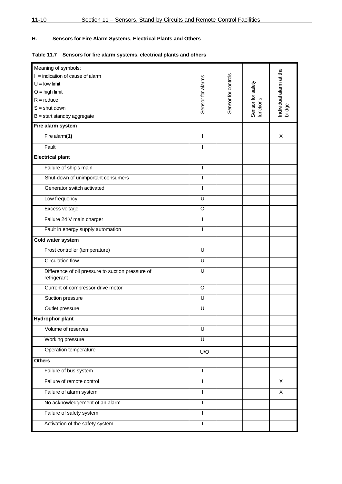## **H. Sensors for Fire Alarm Systems, Electrical Plants and Others**

## **Table 11.7 Sensors for fire alarm systems, electrical plants and others**

| Meaning of symbols:                                              |                   |                     |                                |                         |
|------------------------------------------------------------------|-------------------|---------------------|--------------------------------|-------------------------|
| $I =$ indication of cause of alarm                               |                   |                     |                                | Individual alarm at the |
| $U =$ low limit                                                  | Sensor for alarms | Sensor for controls |                                |                         |
| $O =$ high limit                                                 |                   |                     | Sensor for safety<br>functions |                         |
| $R =$ reduce                                                     |                   |                     |                                |                         |
| $S =$ shut down                                                  |                   |                     |                                | bridge                  |
| $B = start$ standby aggregate                                    |                   |                     |                                |                         |
| Fire alarm system                                                |                   |                     |                                |                         |
| Fire alarm(1)                                                    | I                 |                     |                                | X                       |
| Fault                                                            |                   |                     |                                |                         |
| <b>Electrical plant</b>                                          |                   |                     |                                |                         |
| Failure of ship's main                                           | T                 |                     |                                |                         |
| Shut-down of unimportant consumers                               | I                 |                     |                                |                         |
| Generator switch activated                                       | I                 |                     |                                |                         |
| Low frequency                                                    | U                 |                     |                                |                         |
| Excess voltage                                                   | O                 |                     |                                |                         |
| Failure 24 V main charger                                        | I                 |                     |                                |                         |
| Fault in energy supply automation                                | ı                 |                     |                                |                         |
| Cold water system                                                |                   |                     |                                |                         |
| Frost controller (temperature)                                   | U                 |                     |                                |                         |
| <b>Circulation flow</b>                                          | U                 |                     |                                |                         |
| Difference of oil pressure to suction pressure of<br>refrigerant | U                 |                     |                                |                         |
| Current of compressor drive motor                                | $\circ$           |                     |                                |                         |
| Suction pressure                                                 | U                 |                     |                                |                         |
| Outlet pressure                                                  | U                 |                     |                                |                         |
| <b>Hydrophor plant</b>                                           |                   |                     |                                |                         |
| Volume of reserves                                               | U                 |                     |                                |                         |
| Working pressure                                                 | U                 |                     |                                |                         |
| Operation temperature                                            | U/O               |                     |                                |                         |
| <b>Others</b>                                                    |                   |                     |                                |                         |
| Failure of bus system                                            | T                 |                     |                                |                         |
| Failure of remote control                                        | I                 |                     |                                | X                       |
| Failure of alarm system                                          |                   |                     |                                | X                       |
| No acknowledgement of an alarm                                   | I                 |                     |                                |                         |
| Failure of safety system                                         |                   |                     |                                |                         |
| Activation of the safety system                                  | I                 |                     |                                |                         |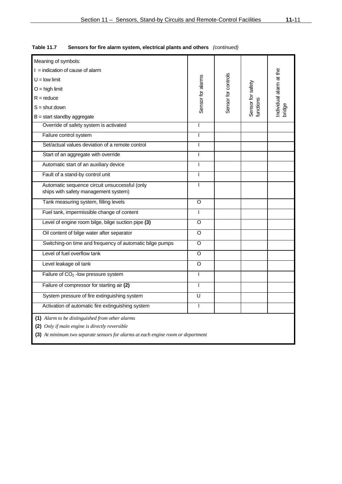|                                                                                  |                   |                     | ndividual alarm at the<br>oridge |  |  |  |
|----------------------------------------------------------------------------------|-------------------|---------------------|----------------------------------|--|--|--|
|                                                                                  |                   |                     |                                  |  |  |  |
| T                                                                                |                   |                     |                                  |  |  |  |
| $\mathbf{I}$                                                                     |                   |                     |                                  |  |  |  |
| $\overline{1}$                                                                   |                   |                     |                                  |  |  |  |
| $\mathsf{I}$                                                                     |                   |                     |                                  |  |  |  |
| $\mathbf{I}$                                                                     |                   |                     |                                  |  |  |  |
| $\mathbf{I}$                                                                     |                   |                     |                                  |  |  |  |
| $\overline{1}$                                                                   |                   |                     |                                  |  |  |  |
| O                                                                                |                   |                     |                                  |  |  |  |
| $\mathbf{I}$                                                                     |                   |                     |                                  |  |  |  |
| O                                                                                |                   |                     |                                  |  |  |  |
| O                                                                                |                   |                     |                                  |  |  |  |
| O                                                                                |                   |                     |                                  |  |  |  |
| $\Omega$                                                                         |                   |                     |                                  |  |  |  |
| O                                                                                |                   |                     |                                  |  |  |  |
| $\mathbf{I}$                                                                     |                   |                     |                                  |  |  |  |
| $\mathbf{I}$                                                                     |                   |                     |                                  |  |  |  |
| U                                                                                |                   |                     |                                  |  |  |  |
| $\mathbf{I}$                                                                     |                   |                     |                                  |  |  |  |
| (1) Alarm to be distinguished from other alarms                                  |                   |                     |                                  |  |  |  |
| (2) Only if main engine is directly reversible                                   |                   |                     |                                  |  |  |  |
| (3) At minimum two separate sensors for alarms at each engine room or department |                   |                     |                                  |  |  |  |
|                                                                                  | Sensor for alarms | Sensor for controls | Sensor for safety<br>unctions    |  |  |  |

**Table 11.7 Sensors for fire alarm system, electrical plants and others** *(continued)*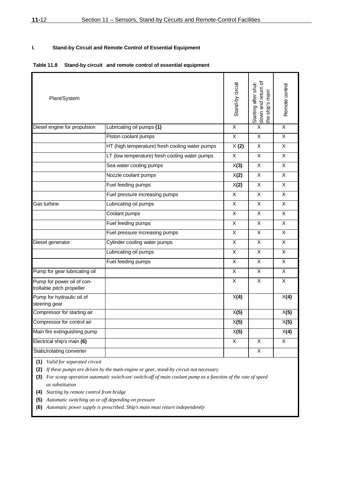## **I. Stand-by Circuit and Remote Control of Essential Equipment**

#### **Table 11.8 Stand-by circuit and remote control of essential equipment**

| Plant/System                                            |                                                 | Stand-by circuit        | Starting after shut-<br>down and return of<br>the ship's main | Remote control          |
|---------------------------------------------------------|-------------------------------------------------|-------------------------|---------------------------------------------------------------|-------------------------|
| Diesel engine for propulsion                            | Lubricating oil pumps (1)                       | $\overline{X}$          | $\overline{X}$                                                | X                       |
|                                                         | Piston coolant pumps                            | $\overline{X}$          | $\pmb{\times}$                                                | $\pmb{\times}$          |
|                                                         | HT (high temperature) fresh cooling water pumps | X(2)                    | X                                                             | X                       |
|                                                         | LT (low temperature) fresh cooling water pumps  | $\overline{X}$          | X                                                             | X                       |
|                                                         | Sea water cooling pumps                         | X(3)                    | X                                                             | X                       |
|                                                         | Nozzle coolant pumps                            | X(2)                    | X                                                             | X                       |
|                                                         | Fuel feeding pumps                              | X(2)                    | X                                                             | X                       |
|                                                         | Fuel pressure increasing pumps                  | $\overline{X}$          | $\sf X$                                                       | $\pmb{\times}$          |
| Gas turbine                                             | Lubricating oil pumps                           | X                       | X                                                             | X                       |
|                                                         | Coolant pumps                                   | X                       | X                                                             | X                       |
|                                                         | Fuel feeding pumps                              | X                       | X                                                             | X                       |
|                                                         | Fuel pressure increasing pumps                  | $\overline{\mathsf{x}}$ | X                                                             | X                       |
| Diesel generator                                        | Cylinder cooling water pumps                    | X                       | X                                                             | X                       |
|                                                         | Lubricating oil pumps                           | X                       | X                                                             | X                       |
|                                                         | Fuel feeding pumps                              | X                       | X                                                             | X                       |
| Pump for gear lubricating oil                           |                                                 | $\overline{X}$          | $\overline{X}$                                                | $\overline{\mathsf{x}}$ |
| Pump for power oil of con-<br>trollable pitch propeller |                                                 | $\overline{X}$          | $\overline{\mathsf{x}}$                                       | $\overline{\mathsf{x}}$ |
| Pump for hydraulic oil of<br>steering gear              |                                                 | X(4)                    |                                                               | X(4)                    |
| Compressor for starting air                             |                                                 | X(5)                    |                                                               | X(5)                    |
| Compressor for control air                              |                                                 | X(5)                    |                                                               | X(5)                    |
| Main fire extinguishing pump                            |                                                 | X(5)                    |                                                               | X(4)                    |
| Electrical ship's main (6)                              |                                                 | X                       | Χ                                                             | X                       |
| Static/rotating converter                               |                                                 |                         | X                                                             |                         |

**(1)** *Valid for separated circuit* 

**(2)** *If these pumps are driven by the main engine or gear, stand-by circuit not necessary* 

**(3)** *For scoop operation automatic switch-on/ switch-off of main coolant pump as a function of the rate of speed as substitution* 

**(4)** *Starting by remote control from bridge* 

**(5)** *Automatic switching on or off depending on pressure* 

**(6)** *Automatic power supply is prescribed. Ship's main must return independently*